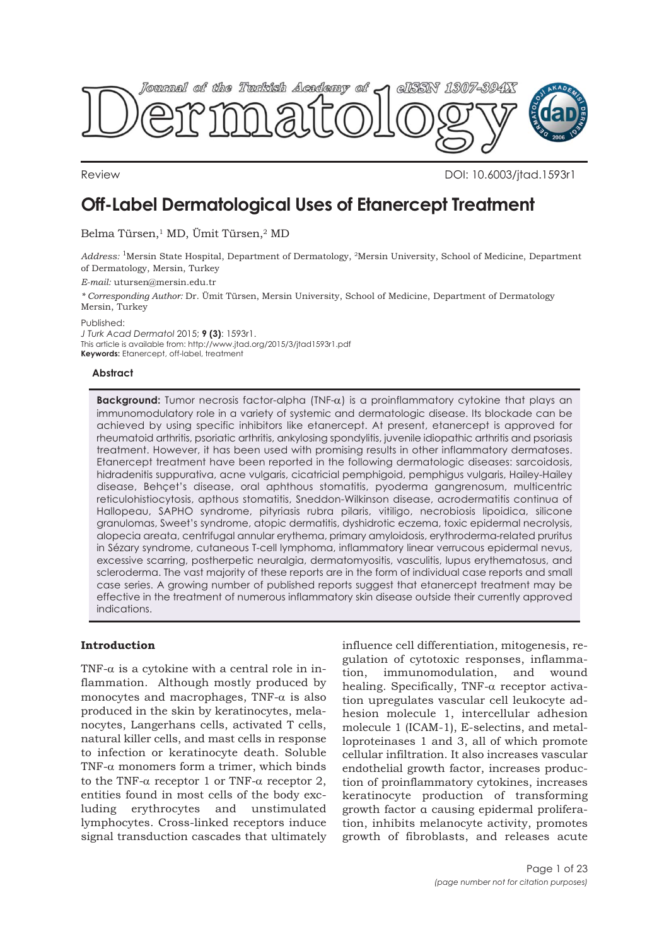

Review DOI: 10.6003/jtad.1593r1

# **Off-Label Dermatological Uses of Etanercept Treatment**

Belma Türsen,<sup>1</sup> MD, Ümit Türsen,<sup>2</sup> MD

*Address:* 1Mersin State Hospital, Department of Dermatology, 2Mersin University, School of Medicine, Department of Dermatology, Mersin, Turkey

*E-mail:* utursen@mersin.edu.tr

*\* Corresponding Author:* Dr. Ümit Türsen, Mersin University, School of Medicine, Department of Dermatology Mersin, Turkey

Published:

*J Turk Acad Dermatol* 2015; **9 (3)**: 1593r1. This article is available from: http://www.jtad.org/2015/3/jtad1593r1.pdf **Keywords:** Etanercept, off-label, treatment

# **Abstract**

**Background:** Tumor necrosis factor-alpha (TNF-α) is a proinflammatory cytokine that plays an immunomodulatory role in a variety of systemic and dermatologic disease. Its blockade can be achieved by using specific inhibitors like etanercept. At present, etanercept is approved for rheumatoid arthritis, psoriatic arthritis, ankylosing spondylitis, juvenile idiopathic arthritis and psoriasis treatment. However, it has been used with promising results in other inflammatory dermatoses. Etanercept treatment have been reported in the following dermatologic diseases: sarcoidosis, hidradenitis suppurativa, acne vulgaris, cicatricial pemphigoid, pemphigus vulgaris, Hailey-Hailey disease, Behçet's disease, oral aphthous stomatitis, pyoderma gangrenosum, multicentric reticulohistiocytosis, apthous stomatitis, Sneddon-Wilkinson disease, acrodermatitis continua of Hallopeau, SAPHO syndrome, pityriasis rubra pilaris, vitiligo, necrobiosis lipoidica, silicone granulomas, Sweet's syndrome, atopic dermatitis, dyshidrotic eczema, toxic epidermal necrolysis, alopecia areata, centrifugal annular erythema, primary amyloidosis, erythroderma-related pruritus in Sézary syndrome, cutaneous T-cell lymphoma, inflammatory linear verrucous epidermal nevus, excessive scarring, postherpetic neuralgia, dermatomyositis, vasculitis, lupus erythematosus, and scleroderma. The vast majority of these reports are in the form of individual case reports and small case series. A growing number of published reports suggest that etanercept treatment may be effective in the treatment of numerous inflammatory skin disease outside their currently approved indications.

# **Introduction**

TNF- $\alpha$  is a cytokine with a central role in inflammation. Although mostly produced by monocytes and macrophages, TNF- $\alpha$  is also produced in the skin by keratinocytes, melanocytes, Langerhans cells, activated T cells, natural killer cells, and mast cells in response to infection or keratinocyte death. Soluble TNF- $\alpha$  monomers form a trimer, which binds to the TNF- $\alpha$  receptor 1 or TNF- $\alpha$  receptor 2, entities found in most cells of the body excluding erythrocytes and unstimulated lymphocytes. Cross-linked receptors induce signal transduction cascades that ultimately influence cell differentiation, mitogenesis, regulation of cytotoxic responses, inflammation, immunomodulation, and wound healing. Specifically, TNF-α receptor activation upregulates vascular cell leukocyte adhesion molecule 1, intercellular adhesion molecule 1 (ICAM-1), E-selectins, and metalloproteinases 1 and 3, all of which promote cellular infiltration. It also increases vascular endothelial growth factor, increases production of proinflammatory cytokines, increases keratinocyte production of transforming growth factor α causing epidermal proliferation, inhibits melanocyte activity, promotes growth of fibroblasts, and releases acute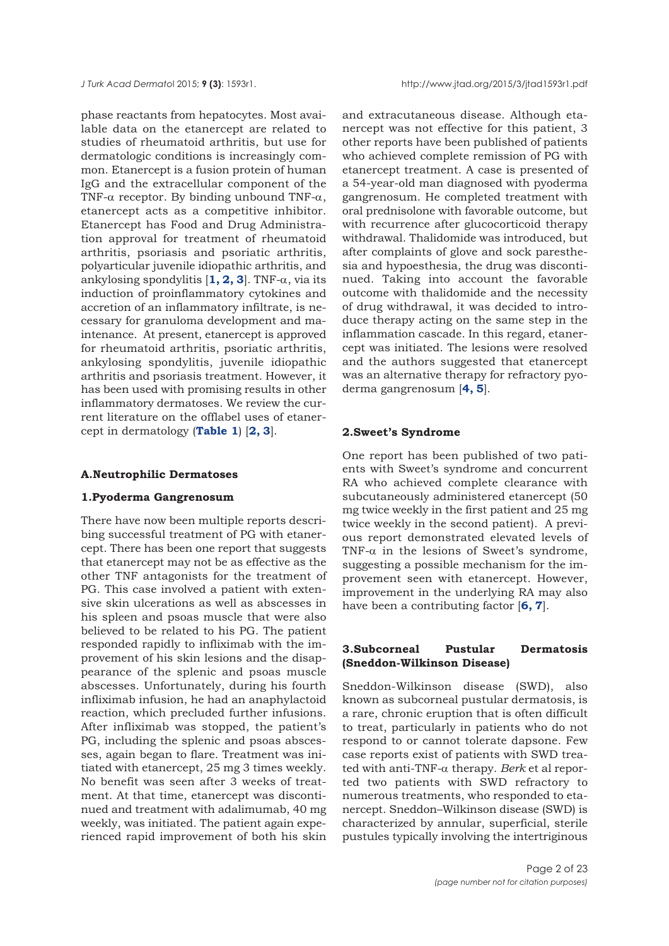*J Turk Acad Dermato*l 2015; **9 (3)**: 1593r1. http://www.jtad.org/2015/3/jtad1593r1.pdf

phase reactants from hepatocytes. Most available data on the etanercept are related to studies of rheumatoid arthritis, but use for dermatologic conditions is increasingly common. Etanercept is a fusion protein of human IgG and the extracellular component of the TNF- $\alpha$  receptor. By binding unbound TNF- $\alpha$ , etanercept acts as a competitive inhibitor. Etanercept has Food and Drug Administration approval for treatment of rheumatoid arthritis, psoriasis and psoriatic arthritis, polyarticular juvenile idiopathic arthritis, and ankylosing spondylitis  $[1, 2, 3]$  $[1, 2, 3]$  $[1, 2, 3]$ . TNF- $\alpha$ , via its induction of proinflammatory cytokines and accretion of an inflammatory infiltrate, is necessary for granuloma development and maintenance. At present, etanercept is approved for rheumatoid arthritis, psoriatic arthritis, ankylosing spondylitis, juvenile idiopathic arthritis and psoriasis treatment. However, it has been used with promising results in other inflammatory dermatoses. We review the current literature on the offlabel uses of etanercept in dermatology (**[Table 1](#page-2-0)**) [**[2, 3](#page-19-0)**].

## **A.Neutrophilic Dermatoses**

# **1.Pyoderma Gangrenosum**

There have now been multiple reports describing successful treatment of PG with etanercept. There has been one report that suggests that etanercept may not be as effective as the other TNF antagonists for the treatment of PG. This case involved a patient with extensive skin ulcerations as well as abscesses in his spleen and psoas muscle that were also believed to be related to his PG. The patient responded rapidly to infliximab with the improvement of his skin lesions and the disappearance of the splenic and psoas muscle abscesses. Unfortunately, during his fourth infliximab infusion, he had an anaphylactoid reaction, which precluded further infusions. After infliximab was stopped, the patient's PG, including the splenic and psoas abscesses, again began to flare. Treatment was initiated with etanercept, 25 mg 3 times weekly. No benefit was seen after 3 weeks of treatment. At that time, etanercept was discontinued and treatment with adalimumab, 40 mg weekly, was initiated. The patient again experienced rapid improvement of both his skin

and extracutaneous disease. Although etanercept was not effective for this patient, 3 other reports have been published of patients who achieved complete remission of PG with etanercept treatment. A case is presented of a 54-year-old man diagnosed with pyoderma gangrenosum. He completed treatment with oral prednisolone with favorable outcome, but with recurrence after glucocorticoid therapy withdrawal. Thalidomide was introduced, but after complaints of glove and sock paresthesia and hypoesthesia, the drug was discontinued. Taking into account the favorable outcome with thalidomide and the necessity of drug withdrawal, it was decided to introduce therapy acting on the same step in the inflammation cascade. In this regard, etanercept was initiated. The lesions were resolved and the authors suggested that etanercept was an alternative therapy for refractory pyoderma gangrenosum [**[4, 5](#page-19-0)**].

# **2.Sweet's Syndrome**

One report has been published of two patients with Sweet's syndrome and concurrent RA who achieved complete clearance with subcutaneously administered etanercept (50 mg twice weekly in the first patient and 25 mg twice weekly in the second patient). A previous report demonstrated elevated levels of TNF- $\alpha$  in the lesions of Sweet's syndrome, suggesting a possible mechanism for the improvement seen with etanercept. However, improvement in the underlying RA may also have been a contributing factor [**[6, 7](#page-19-0)**].

# **3.Subcorneal Pustular Dermatosis (Sneddon-Wilkinson Disease)**

Sneddon-Wilkinson disease (SWD), also known as subcorneal pustular dermatosis, is a rare, chronic eruption that is often difficult to treat, particularly in patients who do not respond to or cannot tolerate dapsone. Few case reports exist of patients with SWD treated with anti-TNF-α therapy. *Berk* et al reported two patients with SWD refractory to numerous treatments, who responded to etanercept. Sneddon–Wilkinson disease (SWD) is characterized by annular, superficial, sterile pustules typically involving the intertriginous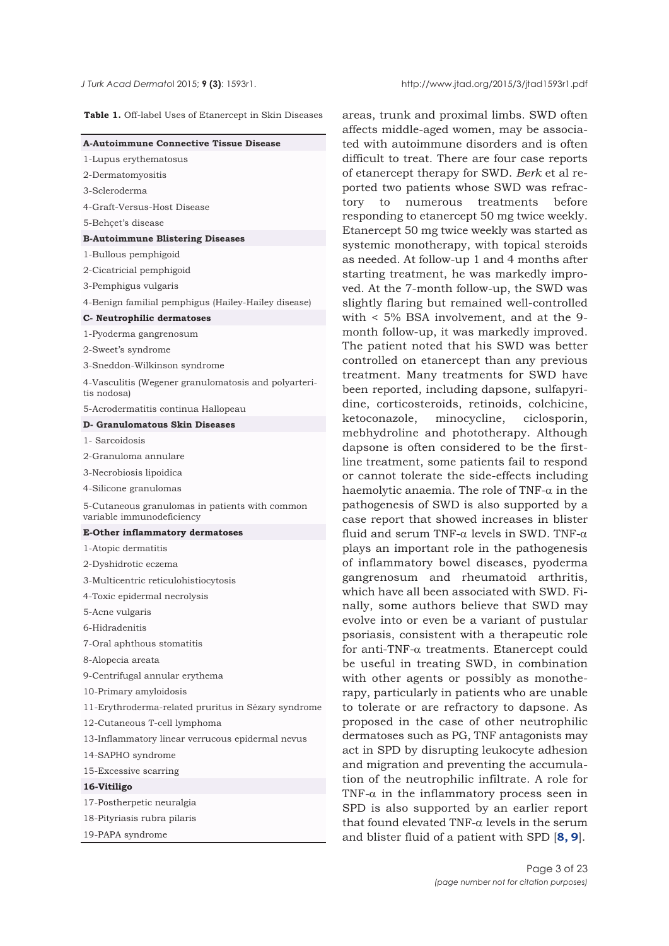<span id="page-2-0"></span>

**Table 1.** Off-label Uses of Etanercept in Skin Diseases

| <b>A-Autoimmune Connective Tissue Disease</b>                               |
|-----------------------------------------------------------------------------|
| 1-Lupus erythematosus                                                       |
| 2-Dermatomyositis                                                           |
| 3-Scleroderma                                                               |
| 4-Graft-Versus-Host Disease                                                 |
| 5-Behçet's disease                                                          |
| <b>B-Autoimmune Blistering Diseases</b>                                     |
| 1-Bullous pemphigoid                                                        |
| 2-Cicatricial pemphigoid                                                    |
| 3-Pemphigus vulgaris                                                        |
| 4-Benign familial pemphigus (Hailey-Hailey disease)                         |
| C- Neutrophilic dermatoses                                                  |
| 1-Pyoderma gangrenosum                                                      |
| 2-Sweet's syndrome                                                          |
| 3-Sneddon-Wilkinson syndrome                                                |
| 4-Vasculitis (Wegener granulomatosis and polyarteri-<br>tis nodosa)         |
| 5-Acrodermatitis continua Hallopeau                                         |
| D- Granulomatous Skin Diseases                                              |
| 1- Sarcoidosis                                                              |
| 2-Granuloma annulare                                                        |
| 3-Necrobiosis lipoidica                                                     |
| 4-Silicone granulomas                                                       |
| 5-Cutaneous granulomas in patients with common<br>variable immunodeficiency |
| <b>E-Other inflammatory dermatoses</b>                                      |
| 1-Atopic dermatitis                                                         |
| 2-Dyshidrotic eczema                                                        |
| 3-Multicentric reticulohistiocytosis                                        |
| 4-Toxic epidermal necrolysis                                                |
| 5-Acne vulgaris                                                             |
| 6-Hidradenitis                                                              |
| 7-Oral aphthous stomatitis                                                  |
| 8-Alopecia areata                                                           |
| 9-Centrifugal annular erythema                                              |
| 10-Primary amyloidosis                                                      |
| 11-Erythroderma-related pruritus in Sézary syndrome                         |
| 12-Cutaneous T-cell lymphoma                                                |
| 13-Inflammatory linear verrucous epidermal nevus                            |
| 14-SAPHO syndrome                                                           |
| 15-Excessive scarring                                                       |
| 16-Vitiligo                                                                 |
| 17-Postherpetic neuralgia                                                   |
| 18-Pityriasis rubra pilaris                                                 |
| 19-PAPA syndrome                                                            |

areas, trunk and proximal limbs. SWD often affects middle-aged women, may be associated with autoimmune disorders and is often difficult to treat. There are four case reports of etanercept therapy for SWD. *Berk* et al reported two patients whose SWD was refractory to numerous treatments before responding to etanercept 50 mg twice weekly. Etanercept 50 mg twice weekly was started as systemic monotherapy, with topical steroids as needed. At follow-up 1 and 4 months after starting treatment, he was markedly improved. At the 7-month follow-up, the SWD was slightly flaring but remained well-controlled with < 5% BSA involvement, and at the 9 month follow-up, it was markedly improved. The patient noted that his SWD was better controlled on etanercept than any previous treatment. Many treatments for SWD have been reported, including dapsone, sulfapyridine, corticosteroids, retinoids, colchicine, ketoconazole, minocycline, ciclosporin, mebhydroline and phototherapy. Although dapsone is often considered to be the firstline treatment, some patients fail to respond or cannot tolerate the side-effects including haemolytic anaemia. The role of TNF- $\alpha$  in the pathogenesis of SWD is also supported by a case report that showed increases in blister fluid and serum TNF- $\alpha$  levels in SWD. TNF- $\alpha$ plays an important role in the pathogenesis of inflammatory bowel diseases, pyoderma gangrenosum and rheumatoid arthritis, which have all been associated with SWD. Finally, some authors believe that SWD may evolve into or even be a variant of pustular psoriasis, consistent with a therapeutic role for anti-TNF-α treatments. Etanercept could be useful in treating SWD, in combination with other agents or possibly as monotherapy, particularly in patients who are unable to tolerate or are refractory to dapsone. As proposed in the case of other neutrophilic dermatoses such as PG, TNF antagonists may act in SPD by disrupting leukocyte adhesion and migration and preventing the accumulation of the neutrophilic infiltrate. A role for TNF- $\alpha$  in the inflammatory process seen in SPD is also supported by an earlier report that found elevated TNF- $\alpha$  levels in the serum and blister fluid of a patient with SPD [**[8, 9](#page-19-0)**].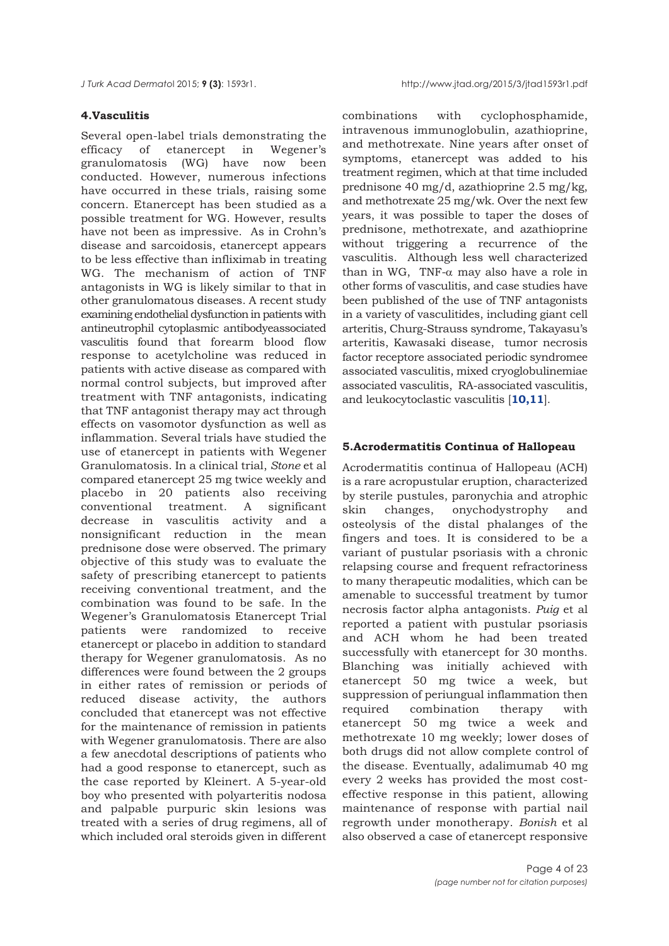# **4.Vasculitis**

Several open-label trials demonstrating the efficacy of etanercept in Wegener's granulomatosis (WG) have now been conducted. However, numerous infections have occurred in these trials, raising some concern. Etanercept has been studied as a possible treatment for WG. However, results have not been as impressive. As in Crohn's disease and sarcoidosis, etanercept appears to be less effective than infliximab in treating WG. The mechanism of action of TNF antagonists in WG is likely similar to that in other granulomatous diseases. A recent study examining endothelial dysfunction in patients with antineutrophil cytoplasmic antibodyeassociated vasculitis found that forearm blood flow response to acetylcholine was reduced in patients with active disease as compared with normal control subjects, but improved after treatment with TNF antagonists, indicating that TNF antagonist therapy may act through effects on vasomotor dysfunction as well as inflammation. Several trials have studied the use of etanercept in patients with Wegener Granulomatosis. In a clinical trial, *Stone* et al compared etanercept 25 mg twice weekly and placebo in 20 patients also receiving conventional treatment. A significant decrease in vasculitis activity and a nonsignificant reduction in the mean prednisone dose were observed. The primary objective of this study was to evaluate the safety of prescribing etanercept to patients receiving conventional treatment, and the combination was found to be safe. In the Wegener's Granulomatosis Etanercept Trial patients were randomized to receive etanercept or placebo in addition to standard therapy for Wegener granulomatosis. As no differences were found between the 2 groups in either rates of remission or periods of reduced disease activity, the authors concluded that etanercept was not effective for the maintenance of remission in patients with Wegener granulomatosis. There are also a few anecdotal descriptions of patients who had a good response to etanercept, such as the case reported by Kleinert. A 5-year-old boy who presented with polyarteritis nodosa and palpable purpuric skin lesions was treated with a series of drug regimens, all of which included oral steroids given in different

combinations with cyclophosphamide, intravenous immunoglobulin, azathioprine, and methotrexate. Nine years after onset of symptoms, etanercept was added to his treatment regimen, which at that time included prednisone 40 mg/d, azathioprine 2.5 mg/kg, and methotrexate 25 mg/wk. Over the next few years, it was possible to taper the doses of prednisone, methotrexate, and azathioprine without triggering a recurrence of the vasculitis. Although less well characterized than in WG, TNF- $\alpha$  may also have a role in other forms of vasculitis, and case studies have been published of the use of TNF antagonists in a variety of vasculitides, including giant cell arteritis, Churg-Strauss syndrome, Takayasu's arteritis, Kawasaki disease, tumor necrosis factor receptore associated periodic syndromee associated vasculitis, mixed cryoglobulinemiae associated vasculitis, RA-associated vasculitis, and leukocytoclastic vasculitis [**[10,11](#page-19-0)**].

# **5.Acrodermatitis Continua of Hallopeau**

Acrodermatitis continua of Hallopeau (ACH) is a rare acropustular eruption, characterized by sterile pustules, paronychia and atrophic skin changes, onychodystrophy and osteolysis of the distal phalanges of the fingers and toes. It is considered to be a variant of pustular psoriasis with a chronic relapsing course and frequent refractoriness to many therapeutic modalities, which can be amenable to successful treatment by tumor necrosis factor alpha antagonists. *Puig* et al reported a patient with pustular psoriasis and ACH whom he had been treated successfully with etanercept for 30 months. Blanching was initially achieved with etanercept 50 mg twice a week, but suppression of periungual inflammation then required combination therapy with etanercept 50 mg twice a week and methotrexate 10 mg weekly; lower doses of both drugs did not allow complete control of the disease. Eventually, adalimumab 40 mg every 2 weeks has provided the most costeffective response in this patient, allowing maintenance of response with partial nail regrowth under monotherapy. *Bonish* et al also observed a case of etanercept responsive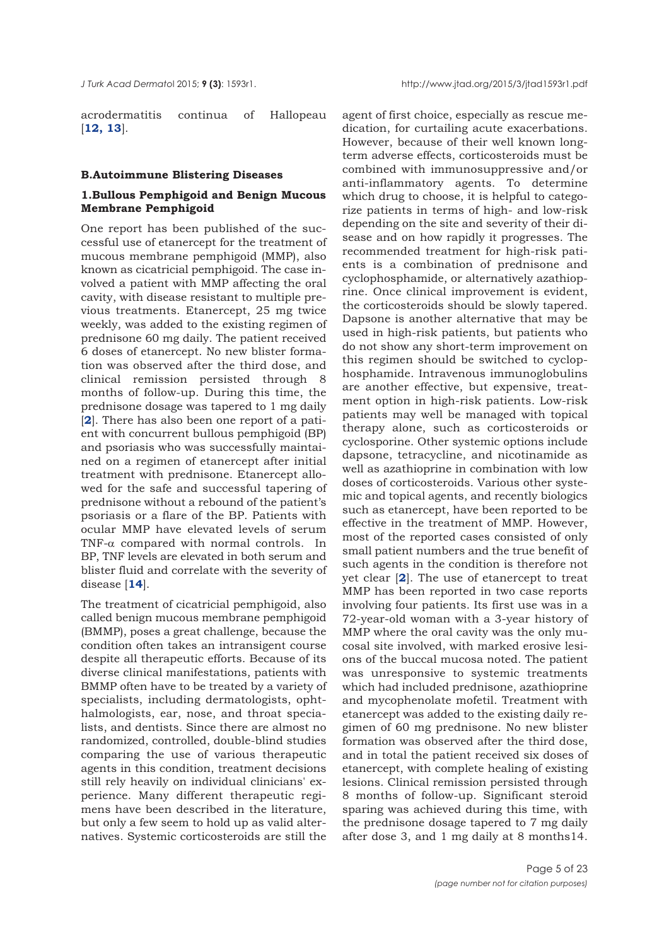acrodermatitis continua of Hallopeau [**[12, 13](#page-19-0)**].

#### **B.Autoimmune Blistering Diseases**

# **1.Bullous Pemphigoid and Benign Mucous Membrane Pemphigoid**

One report has been published of the successful use of etanercept for the treatment of mucous membrane pemphigoid (MMP), also known as cicatricial pemphigoid. The case involved a patient with MMP affecting the oral cavity, with disease resistant to multiple previous treatments. Etanercept, 25 mg twice weekly, was added to the existing regimen of prednisone 60 mg daily. The patient received 6 doses of etanercept. No new blister formation was observed after the third dose, and clinical remission persisted through 8 months of follow-up. During this time, the prednisone dosage was tapered to 1 mg daily [**[2](#page-19-0)**]. There has also been one report of a patient with concurrent bullous pemphigoid (BP) and psoriasis who was successfully maintained on a regimen of etanercept after initial treatment with prednisone. Etanercept allowed for the safe and successful tapering of prednisone without a rebound of the patient's psoriasis or a flare of the BP. Patients with ocular MMP have elevated levels of serum TNF-α compared with normal controls. In BP, TNF levels are elevated in both serum and blister fluid and correlate with the severity of disease [**[14](#page-19-0)**].

The treatment of cicatricial pemphigoid, also called benign mucous membrane pemphigoid (BMMP), poses a great challenge, because the condition often takes an intransigent course despite all therapeutic efforts. Because of its diverse clinical manifestations, patients with BMMP often have to be treated by a variety of specialists, including dermatologists, ophthalmologists, ear, nose, and throat specialists, and dentists. Since there are almost no randomized, controlled, double-blind studies comparing the use of various therapeutic agents in this condition, treatment decisions still rely heavily on individual clinicians' experience. Many different therapeutic regimens have been described in the literature, but only a few seem to hold up as valid alternatives. Systemic corticosteroids are still the

agent of first choice, especially as rescue medication, for curtailing acute exacerbations. However, because of their well known longterm adverse effects, corticosteroids must be combined with immunosuppressive and/or anti-inflammatory agents. To determine which drug to choose, it is helpful to categorize patients in terms of high- and low-risk depending on the site and severity of their disease and on how rapidly it progresses. The recommended treatment for high-risk patients is a combination of prednisone and cyclophosphamide, or alternatively azathioprine. Once clinical improvement is evident, the corticosteroids should be slowly tapered. Dapsone is another alternative that may be used in high-risk patients, but patients who do not show any short-term improvement on this regimen should be switched to cyclophosphamide. Intravenous immunoglobulins are another effective, but expensive, treatment option in high-risk patients. Low-risk patients may well be managed with topical therapy alone, such as corticosteroids or cyclosporine. Other systemic options include dapsone, tetracycline, and nicotinamide as well as azathioprine in combination with low doses of corticosteroids. Various other systemic and topical agents, and recently biologics such as etanercept, have been reported to be effective in the treatment of MMP. However, most of the reported cases consisted of only small patient numbers and the true benefit of such agents in the condition is therefore not yet clear [**[2](#page-19-0)**]. The use of etanercept to treat MMP has been reported in two case reports involving four patients. Its first use was in a 72-year-old woman with a 3-year history of MMP where the oral cavity was the only mucosal site involved, with marked erosive lesions of the buccal mucosa noted. The patient was unresponsive to systemic treatments which had included prednisone, azathioprine and mycophenolate mofetil. Treatment with etanercept was added to the existing daily regimen of 60 mg prednisone. No new blister formation was observed after the third dose, and in total the patient received six doses of etanercept, with complete healing of existing lesions. Clinical remission persisted through 8 months of follow-up. Significant steroid sparing was achieved during this time, with the prednisone dosage tapered to 7 mg daily after dose 3, and 1 mg daily at 8 months14.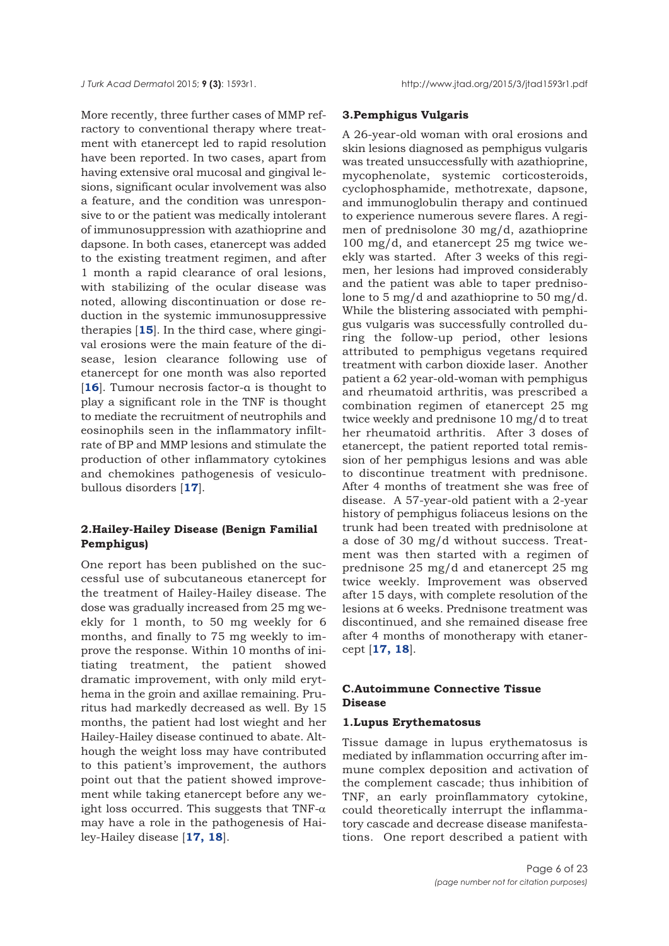More recently, three further cases of MMP refractory to conventional therapy where treatment with etanercept led to rapid resolution have been reported. In two cases, apart from having extensive oral mucosal and gingival lesions, significant ocular involvement was also a feature, and the condition was unresponsive to or the patient was medically intolerant of immunosuppression with azathioprine and dapsone. In both cases, etanercept was added to the existing treatment regimen, and after 1 month a rapid clearance of oral lesions, with stabilizing of the ocular disease was noted, allowing discontinuation or dose reduction in the systemic immunosuppressive therapies [**[15](#page-19-0)**]. In the third case, where gingival erosions were the main feature of the disease, lesion clearance following use of etanercept for one month was also reported [[16](#page-19-0)]. Tumour necrosis factor-a is thought to play a significant role in the TNF is thought to mediate the recruitment of neutrophils and eosinophils seen in the inflammatory infiltrate of BP and MMP lesions and stimulate the production of other inflammatory cytokines and chemokines pathogenesis of vesiculobullous disorders [**[17](#page-20-0)**].

# **2.Hailey-Hailey Disease (Benign Familial Pemphigus)**

One report has been published on the successful use of subcutaneous etanercept for the treatment of Hailey-Hailey disease. The dose was gradually increased from 25 mg weekly for 1 month, to 50 mg weekly for 6 months, and finally to 75 mg weekly to improve the response. Within 10 months of initiating treatment, the patient showed dramatic improvement, with only mild erythema in the groin and axillae remaining. Pruritus had markedly decreased as well. By 15 months, the patient had lost wieght and her Hailey-Hailey disease continued to abate. Although the weight loss may have contributed to this patient's improvement, the authors point out that the patient showed improvement while taking etanercept before any weight loss occurred. This suggests that TNF- $\alpha$ may have a role in the pathogenesis of Hailey-Hailey disease [**[17, 18](#page-20-0)**].

#### **3.Pemphigus Vulgaris**

A 26-year-old woman with oral erosions and skin lesions diagnosed as pemphigus vulgaris was treated unsuccessfully with azathioprine, mycophenolate, systemic corticosteroids, cyclophosphamide, methotrexate, dapsone, and immunoglobulin therapy and continued to experience numerous severe flares. A regimen of prednisolone 30 mg/d, azathioprine 100 mg/d, and etanercept 25 mg twice weekly was started. After 3 weeks of this regimen, her lesions had improved considerably and the patient was able to taper prednisolone to 5 mg/d and azathioprine to 50 mg/d. While the blistering associated with pemphigus vulgaris was successfully controlled during the follow-up period, other lesions attributed to pemphigus vegetans required treatment with carbon dioxide laser. Another patient a 62 year-old-woman with pemphigus and rheumatoid arthritis, was prescribed a combination regimen of etanercept 25 mg twice weekly and prednisone 10 mg/d to treat her rheumatoid arthritis. After 3 doses of etanercept, the patient reported total remission of her pemphigus lesions and was able to discontinue treatment with prednisone. After 4 months of treatment she was free of disease. A 57-year-old patient with a 2-year history of pemphigus foliaceus lesions on the trunk had been treated with prednisolone at a dose of 30 mg/d without success. Treatment was then started with a regimen of prednisone 25 mg/d and etanercept 25 mg twice weekly. Improvement was observed after 15 days, with complete resolution of the lesions at 6 weeks. Prednisone treatment was discontinued, and she remained disease free after 4 months of monotherapy with etanercept [**[17, 18](#page-20-0)**].

# **C.Autoimmune Connective Tissue Disease**

# **1.Lupus Erythematosus**

Tissue damage in lupus erythematosus is mediated by inflammation occurring after immune complex deposition and activation of the complement cascade; thus inhibition of TNF, an early proinflammatory cytokine, could theoretically interrupt the inflammatory cascade and decrease disease manifestations. One report described a patient with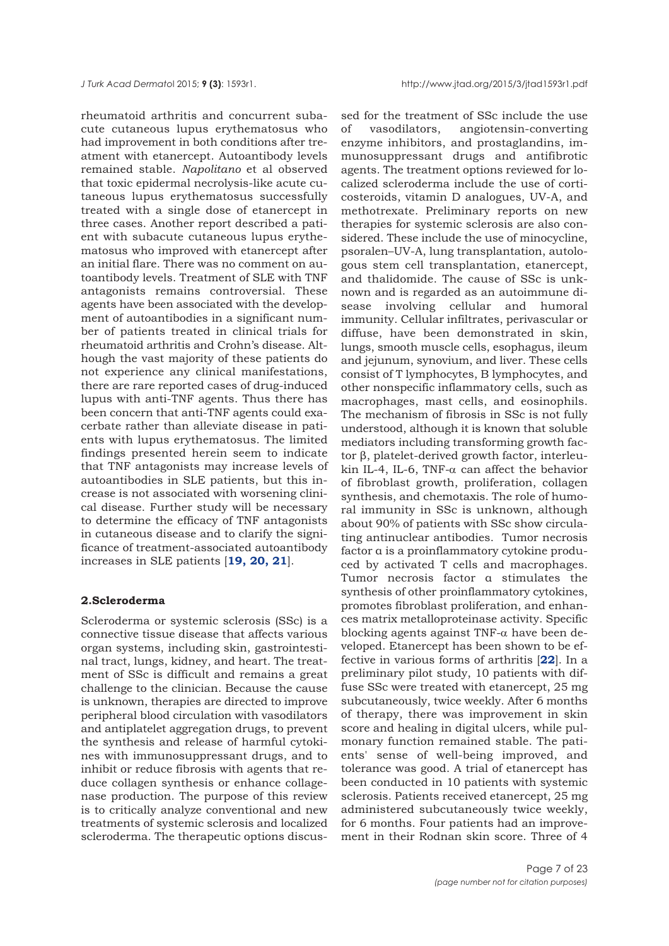rheumatoid arthritis and concurrent subacute cutaneous lupus erythematosus who had improvement in both conditions after treatment with etanercept. Autoantibody levels remained stable. *Napolitano* et al observed that toxic epidermal necrolysis-like acute cutaneous lupus erythematosus successfully treated with a single dose of etanercept in three cases. Another report described a patient with subacute cutaneous lupus erythematosus who improved with etanercept after an initial flare. There was no comment on autoantibody levels. Treatment of SLE with TNF antagonists remains controversial. These agents have been associated with the development of autoantibodies in a significant number of patients treated in clinical trials for rheumatoid arthritis and Crohn's disease. Although the vast majority of these patients do not experience any clinical manifestations, there are rare reported cases of drug-induced lupus with anti-TNF agents. Thus there has been concern that anti-TNF agents could exacerbate rather than alleviate disease in patients with lupus erythematosus. The limited findings presented herein seem to indicate that TNF antagonists may increase levels of autoantibodies in SLE patients, but this increase is not associated with worsening clinical disease. Further study will be necessary to determine the efficacy of TNF antagonists in cutaneous disease and to clarify the significance of treatment-associated autoantibody increases in SLE patients [**[19, 20, 21](#page-20-0)**].

## **2.Scleroderma**

Scleroderma or systemic sclerosis (SSc) is a connective tissue disease that affects various organ systems, including skin, gastrointestinal tract, lungs, kidney, and heart. The treatment of SSc is difficult and remains a great challenge to the clinician. Because the cause is unknown, therapies are directed to improve peripheral blood circulation with vasodilators and antiplatelet aggregation drugs, to prevent the synthesis and release of harmful cytokines with immunosuppressant drugs, and to inhibit or reduce fibrosis with agents that reduce collagen synthesis or enhance collagenase production. The purpose of this review is to critically analyze conventional and new treatments of systemic sclerosis and localized scleroderma. The therapeutic options discus-

sed for the treatment of SSc include the use of vasodilators, angiotensin-converting enzyme inhibitors, and prostaglandins, immunosuppressant drugs and antifibrotic agents. The treatment options reviewed for localized scleroderma include the use of corticosteroids, vitamin D analogues, UV-A, and methotrexate. Preliminary reports on new therapies for systemic sclerosis are also considered. These include the use of minocycline, psoralen–UV-A, lung transplantation, autologous stem cell transplantation, etanercept, and thalidomide. The cause of SSc is unknown and is regarded as an autoimmune disease involving cellular and humoral immunity. Cellular infiltrates, perivascular or diffuse, have been demonstrated in skin, lungs, smooth muscle cells, esophagus, ileum and jejunum, synovium, and liver. These cells consist of T lymphocytes, B lymphocytes, and other nonspecific inflammatory cells, such as macrophages, mast cells, and eosinophils. The mechanism of fibrosis in SSc is not fully understood, although it is known that soluble mediators including transforming growth factor β, platelet-derived growth factor, interleukin IL-4, IL-6, TNF- $α$  can affect the behavior of fibroblast growth, proliferation, collagen synthesis, and chemotaxis. The role of humoral immunity in SSc is unknown, although about 90% of patients with SSc show circulating antinuclear antibodies. Tumor necrosis factor α is a proinflammatory cytokine produced by activated T cells and macrophages. Tumor necrosis factor α stimulates the synthesis of other proinflammatory cytokines, promotes fibroblast proliferation, and enhances matrix metalloproteinase activity. Specific blocking agents against TNF- $\alpha$  have been developed. Etanercept has been shown to be effective in various forms of arthritis [**[22](#page-20-0)**]. In a preliminary pilot study, 10 patients with diffuse SSc were treated with etanercept, 25 mg subcutaneously, twice weekly. After 6 months of therapy, there was improvement in skin score and healing in digital ulcers, while pulmonary function remained stable. The patients' sense of well-being improved, and tolerance was good. A trial of etanercept has been conducted in 10 patients with systemic sclerosis. Patients received etanercept, 25 mg administered subcutaneously twice weekly, for 6 months. Four patients had an improvement in their Rodnan skin score. Three of 4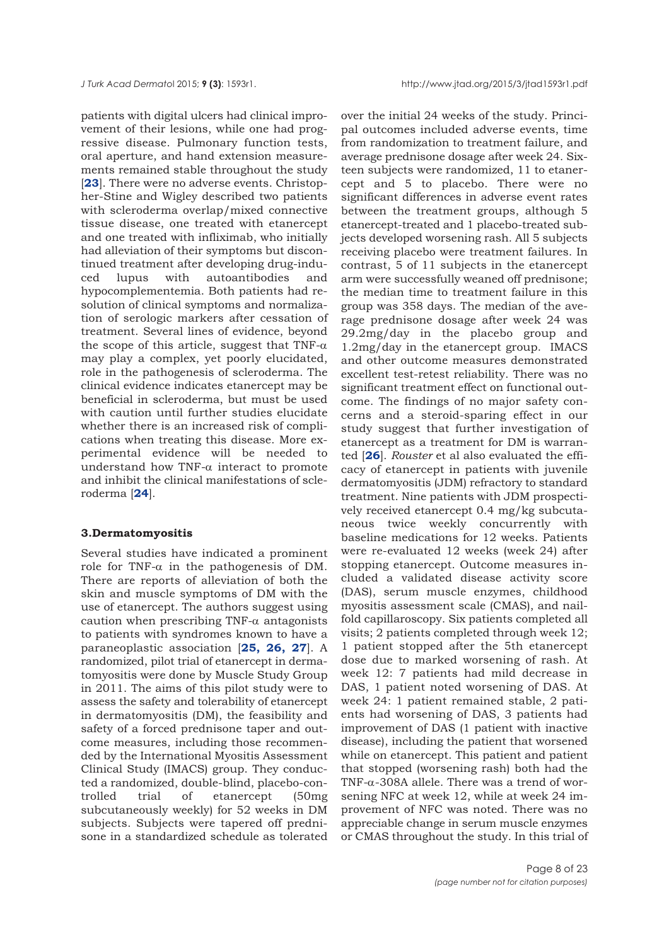patients with digital ulcers had clinical improvement of their lesions, while one had progressive disease. Pulmonary function tests, oral aperture, and hand extension measurements remained stable throughout the study [[23](#page-20-0)]. There were no adverse events. Christopher-Stine and Wigley described two patients with scleroderma overlap/mixed connective tissue disease, one treated with etanercept and one treated with infliximab, who initially had alleviation of their symptoms but discontinued treatment after developing drug-induced lupus with autoantibodies and hypocomplementemia. Both patients had resolution of clinical symptoms and normalization of serologic markers after cessation of treatment. Several lines of evidence, beyond the scope of this article, suggest that  $TNF-\alpha$ may play a complex, yet poorly elucidated, role in the pathogenesis of scleroderma. The clinical evidence indicates etanercept may be beneficial in scleroderma, but must be used with caution until further studies elucidate whether there is an increased risk of complications when treating this disease. More experimental evidence will be needed to understand how TNF- $\alpha$  interact to promote and inhibit the clinical manifestations of scleroderma [**[24](#page-20-0)**].

## **3.Dermatomyositis**

Several studies have indicated a prominent role for TNF- $\alpha$  in the pathogenesis of DM. There are reports of alleviation of both the skin and muscle symptoms of DM with the use of etanercept. The authors suggest using caution when prescribing TNF- $\alpha$  antagonists to patients with syndromes known to have a paraneoplastic association [**[25, 26, 27](#page-20-0)**]. A randomized, pilot trial of etanercept in dermatomyositis were done by Muscle Study Group in 2011. The aims of this pilot study were to assess the safety and tolerability of etanercept in dermatomyositis (DM), the feasibility and safety of a forced prednisone taper and outcome measures, including those recommended by the International Myositis Assessment Clinical Study (IMACS) group. They conducted a randomized, double-blind, placebo-controlled trial of etanercept (50mg subcutaneously weekly) for 52 weeks in DM subjects. Subjects were tapered off prednisone in a standardized schedule as tolerated

over the initial 24 weeks of the study. Principal outcomes included adverse events, time from randomization to treatment failure, and average prednisone dosage after week 24. Sixteen subjects were randomized, 11 to etanercept and 5 to placebo. There were no significant differences in adverse event rates between the treatment groups, although 5 etanercept-treated and 1 placebo-treated subjects developed worsening rash. All 5 subjects receiving placebo were treatment failures. In contrast, 5 of 11 subjects in the etanercept arm were successfully weaned off prednisone; the median time to treatment failure in this group was 358 days. The median of the average prednisone dosage after week 24 was 29.2mg/day in the placebo group and 1.2mg/day in the etanercept group. IMACS and other outcome measures demonstrated excellent test-retest reliability. There was no significant treatment effect on functional outcome. The findings of no major safety concerns and a steroid-sparing effect in our study suggest that further investigation of etanercept as a treatment for DM is warranted [**[26](#page-20-0)**]. *Rouster* et al also evaluated the efficacy of etanercept in patients with juvenile dermatomyositis (JDM) refractory to standard treatment. Nine patients with JDM prospectively received etanercept 0.4 mg/kg subcutaneous twice weekly concurrently with baseline medications for 12 weeks. Patients were re-evaluated 12 weeks (week 24) after stopping etanercept. Outcome measures included a validated disease activity score (DAS), serum muscle enzymes, childhood myositis assessment scale (CMAS), and nailfold capillaroscopy. Six patients completed all visits; 2 patients completed through week 12; 1 patient stopped after the 5th etanercept dose due to marked worsening of rash. At week 12: 7 patients had mild decrease in DAS, 1 patient noted worsening of DAS. At week 24: 1 patient remained stable, 2 patients had worsening of DAS, 3 patients had improvement of DAS (1 patient with inactive disease), including the patient that worsened while on etanercept. This patient and patient that stopped (worsening rash) both had the TNF-α-308A allele. There was a trend of worsening NFC at week 12, while at week 24 improvement of NFC was noted. There was no appreciable change in serum muscle enzymes or CMAS throughout the study. In this trial of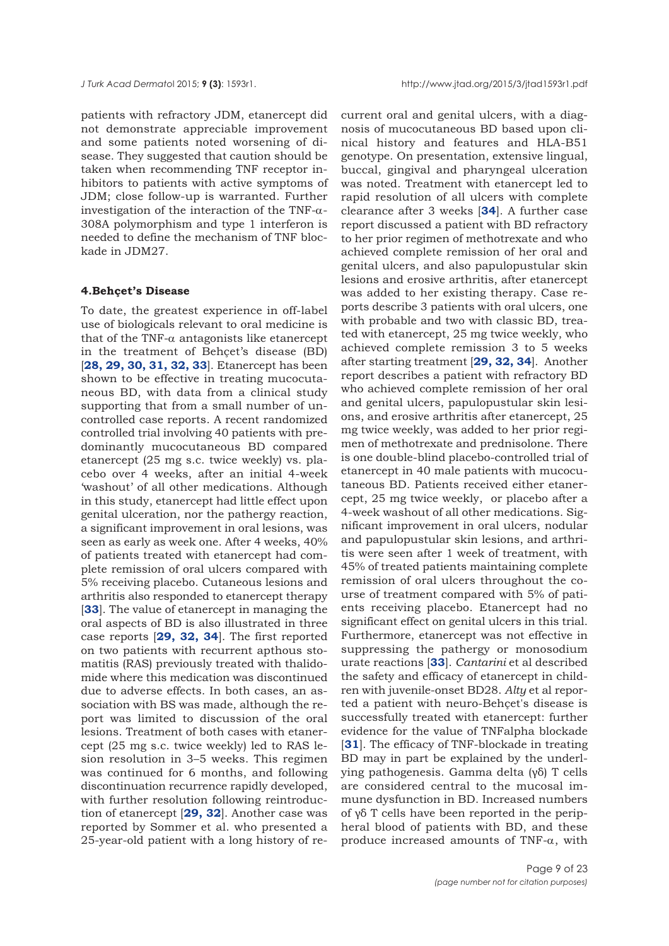patients with refractory JDM, etanercept did not demonstrate appreciable improvement and some patients noted worsening of disease. They suggested that caution should be taken when recommending TNF receptor inhibitors to patients with active symptoms of JDM; close follow-up is warranted. Further investigation of the interaction of the TNF-α-308A polymorphism and type 1 interferon is needed to define the mechanism of TNF blockade in JDM27.

## **4.Behçet's Disease**

To date, the greatest experience in off-label use of biologicals relevant to oral medicine is that of the TNF- $\alpha$  antagonists like etanercept in the treatment of Behçet's disease (BD) [**[28, 29, 30, 31, 32, 33](#page-20-0)**]. Etanercept has been shown to be effective in treating mucocutaneous BD, with data from a clinical study supporting that from a small number of uncontrolled case reports. A recent randomized controlled trial involving 40 patients with predominantly mucocutaneous BD compared etanercept (25 mg s.c. twice weekly) vs. placebo over 4 weeks, after an initial 4-week 'washout' of all other medications. Although in this study, etanercept had little effect upon genital ulceration, nor the pathergy reaction, a significant improvement in oral lesions, was seen as early as week one. After 4 weeks, 40% of patients treated with etanercept had complete remission of oral ulcers compared with 5% receiving placebo. Cutaneous lesions and arthritis also responded to etanercept therapy [**[33](#page-20-0)**]. The value of etanercept in managing the oral aspects of BD is also illustrated in three case reports [**[29, 32, 34](#page-20-0)**]. The first reported on two patients with recurrent apthous stomatitis (RAS) previously treated with thalidomide where this medication was discontinued due to adverse effects. In both cases, an association with BS was made, although the report was limited to discussion of the oral lesions. Treatment of both cases with etanercept (25 mg s.c. twice weekly) led to RAS lesion resolution in 3–5 weeks. This regimen was continued for 6 months, and following discontinuation recurrence rapidly developed, with further resolution following reintroduction of etanercept [**[29, 32](#page-20-0)**]. Another case was reported by Sommer et al. who presented a 25-year-old patient with a long history of re-

current oral and genital ulcers, with a diagnosis of mucocutaneous BD based upon clinical history and features and HLA-B51 genotype. On presentation, extensive lingual, buccal, gingival and pharyngeal ulceration was noted. Treatment with etanercept led to rapid resolution of all ulcers with complete clearance after 3 weeks [**[34](#page-20-0)**]. A further case report discussed a patient with BD refractory to her prior regimen of methotrexate and who achieved complete remission of her oral and genital ulcers, and also papulopustular skin lesions and erosive arthritis, after etanercept was added to her existing therapy. Case reports describe 3 patients with oral ulcers, one with probable and two with classic BD, treated with etanercept, 25 mg twice weekly, who achieved complete remission 3 to 5 weeks after starting treatment [**[29, 32, 34](#page-20-0)**]. Another report describes a patient with refractory BD who achieved complete remission of her oral and genital ulcers, papulopustular skin lesions, and erosive arthritis after etanercept, 25 mg twice weekly, was added to her prior regimen of methotrexate and prednisolone. There is one double-blind placebo-controlled trial of etanercept in 40 male patients with mucocutaneous BD. Patients received either etanercept, 25 mg twice weekly, or placebo after a 4-week washout of all other medications. Significant improvement in oral ulcers, nodular and papulopustular skin lesions, and arthritis were seen after 1 week of treatment, with 45% of treated patients maintaining complete remission of oral ulcers throughout the course of treatment compared with 5% of patients receiving placebo. Etanercept had no significant effect on genital ulcers in this trial. Furthermore, etanercept was not effective in suppressing the pathergy or monosodium urate reactions [**[33](#page-20-0)**]. *Cantarini* et al described the safety and efficacy of etanercept in children with juvenile-onset BD28. *Alty* et al reported a patient with neuro-Behçet's disease is successfully treated with etanercept: further evidence for the value of TNFalpha blockade [[31](#page-20-0)]. The efficacy of TNF-blockade in treating BD may in part be explained by the underlying pathogenesis. Gamma delta (γδ) T cells are considered central to the mucosal immune dysfunction in BD. Increased numbers of γδ T cells have been reported in the peripheral blood of patients with BD, and these produce increased amounts of TNF- $\alpha$ , with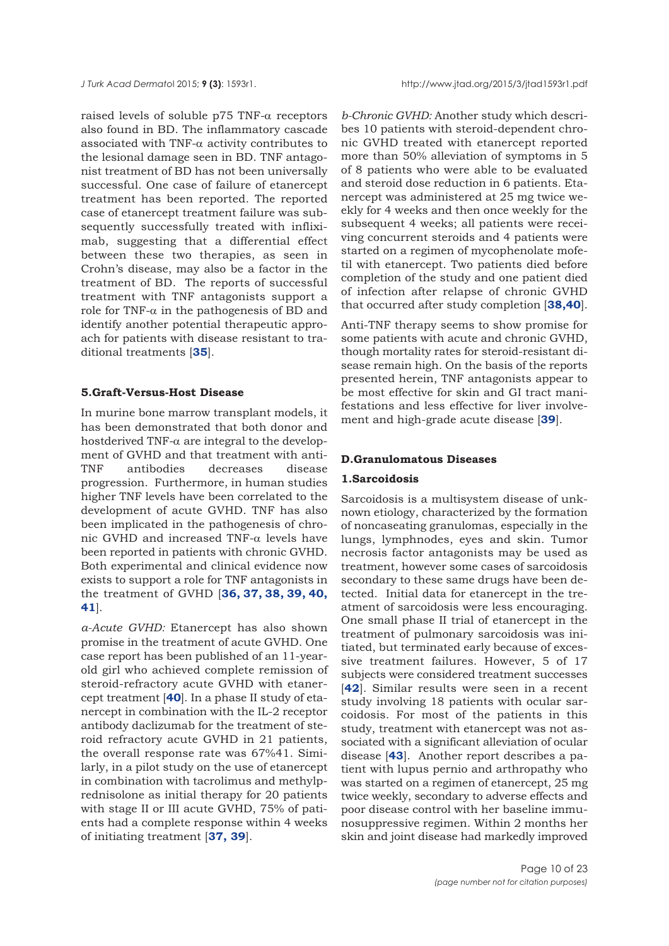raised levels of soluble p75 TNF-α receptors also found in BD. The inflammatory cascade associated with TNF- $\alpha$  activity contributes to the lesional damage seen in BD. TNF antagonist treatment of BD has not been universally successful. One case of failure of etanercept treatment has been reported. The reported case of etanercept treatment failure was subsequently successfully treated with infliximab, suggesting that a differential effect between these two therapies, as seen in Crohn's disease, may also be a factor in the treatment of BD. The reports of successful treatment with TNF antagonists support a role for TNF- $\alpha$  in the pathogenesis of BD and identify another potential therapeutic approach for patients with disease resistant to traditional treatments [**[35](#page-20-0)**].

# **5.Graft-Versus-Host Disease**

In murine bone marrow transplant models, it has been demonstrated that both donor and hostderived TNF-α are integral to the development of GVHD and that treatment with anti-TNF antibodies decreases disease progression. Furthermore, in human studies higher TNF levels have been correlated to the development of acute GVHD. TNF has also been implicated in the pathogenesis of chronic GVHD and increased TNF-α levels have been reported in patients with chronic GVHD. Both experimental and clinical evidence now exists to support a role for TNF antagonists in the treatment of GVHD [**[36, 37, 38, 39, 40,](#page-20-0) [41](#page-20-0)**].

*a-Acute GVHD:* Etanercept has also shown promise in the treatment of acute GVHD. One case report has been published of an 11-yearold girl who achieved complete remission of steroid-refractory acute GVHD with etanercept treatment [**[40](#page-20-0)**]. In a phase II study of etanercept in combination with the IL-2 receptor antibody daclizumab for the treatment of steroid refractory acute GVHD in 21 patients, the overall response rate was 67%41. Similarly, in a pilot study on the use of etanercept in combination with tacrolimus and methylprednisolone as initial therapy for 20 patients with stage II or III acute GVHD, 75% of patients had a complete response within 4 weeks of initiating treatment [**[37, 39](#page-20-0)**].

*b-Chronic GVHD:* Another study which describes 10 patients with steroid-dependent chronic GVHD treated with etanercept reported more than 50% alleviation of symptoms in 5 of 8 patients who were able to be evaluated and steroid dose reduction in 6 patients. Etanercept was administered at 25 mg twice weekly for 4 weeks and then once weekly for the subsequent 4 weeks; all patients were receiving concurrent steroids and 4 patients were started on a regimen of mycophenolate mofetil with etanercept. Two patients died before completion of the study and one patient died of infection after relapse of chronic GVHD that occurred after study completion [**[38,40](#page-20-0)**].

Anti-TNF therapy seems to show promise for some patients with acute and chronic GVHD, though mortality rates for steroid-resistant disease remain high. On the basis of the reports presented herein, TNF antagonists appear to be most effective for skin and GI tract manifestations and less effective for liver involvement and high-grade acute disease [**[39](#page-20-0)**].

#### **D.Granulomatous Diseases**

#### **1.Sarcoidosis**

Sarcoidosis is a multisystem disease of unknown etiology, characterized by the formation of noncaseating granulomas, especially in the lungs, lymphnodes, eyes and skin. Tumor necrosis factor antagonists may be used as treatment, however some cases of sarcoidosis secondary to these same drugs have been detected. Initial data for etanercept in the treatment of sarcoidosis were less encouraging. One small phase II trial of etanercept in the treatment of pulmonary sarcoidosis was initiated, but terminated early because of excessive treatment failures. However, 5 of 17 subjects were considered treatment successes [**[42](#page-21-0)**]. Similar results were seen in a recent study involving 18 patients with ocular sarcoidosis. For most of the patients in this study, treatment with etanercept was not associated with a significant alleviation of ocular disease [**[43](#page-21-0)**]. Another report describes a patient with lupus pernio and arthropathy who was started on a regimen of etanercept, 25 mg twice weekly, secondary to adverse effects and poor disease control with her baseline immunosuppressive regimen. Within 2 months her skin and joint disease had markedly improved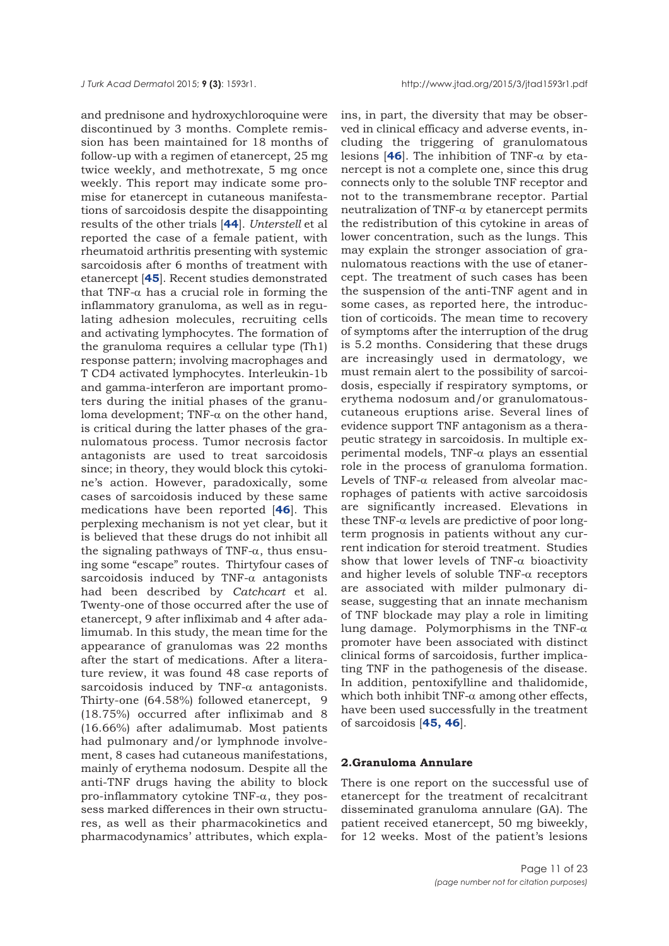and prednisone and hydroxychloroquine were discontinued by 3 months. Complete remission has been maintained for 18 months of follow-up with a regimen of etanercept, 25 mg twice weekly, and methotrexate, 5 mg once weekly. This report may indicate some promise for etanercept in cutaneous manifestations of sarcoidosis despite the disappointing results of the other trials [**[44](#page-21-0)**]. *Unterstell* et al reported the case of a female patient, with rheumatoid arthritis presenting with systemic sarcoidosis after 6 months of treatment with etanercept [**[45](#page-21-0)**]. Recent studies demonstrated that TNF-α has a crucial role in forming the inflammatory granuloma, as well as in regulating adhesion molecules, recruiting cells and activating lymphocytes. The formation of the granuloma requires a cellular type (Th1) response pattern; involving macrophages and T CD4 activated lymphocytes. Interleukin-1b and gamma-interferon are important promoters during the initial phases of the granuloma development; TNF-α on the other hand, is critical during the latter phases of the granulomatous process. Tumor necrosis factor antagonists are used to treat sarcoidosis since; in theory, they would block this cytokine's action. However, paradoxically, some cases of sarcoidosis induced by these same medications have been reported [**[46](#page-21-0)**]. This perplexing mechanism is not yet clear, but it is believed that these drugs do not inhibit all the signaling pathways of TNF- $\alpha$ , thus ensuing some "escape" routes. Thirtyfour cases of sarcoidosis induced by TNF- $\alpha$  antagonists had been described by *Catchcart* et al. Twenty-one of those occurred after the use of etanercept, 9 after infliximab and 4 after adalimumab. In this study, the mean time for the appearance of granulomas was 22 months after the start of medications. After a literature review, it was found 48 case reports of sarcoidosis induced by TNF- $\alpha$  antagonists. Thirty-one (64.58%) followed etanercept, 9 (18.75%) occurred after infliximab and 8 (16.66%) after adalimumab. Most patients had pulmonary and/or lymphnode involvement, 8 cases had cutaneous manifestations, mainly of erythema nodosum. Despite all the anti-TNF drugs having the ability to block pro-inflammatory cytokine TNF-α, they possess marked differences in their own structures, as well as their pharmacokinetics and pharmacodynamics' attributes, which explains, in part, the diversity that may be observed in clinical efficacy and adverse events, including the triggering of granulomatous lesions  $[46]$  $[46]$  $[46]$ . The inhibition of TNF- $\alpha$  by etanercept is not a complete one, since this drug connects only to the soluble TNF receptor and not to the transmembrane receptor. Partial neutralization of TNF- $\alpha$  by etanercept permits the redistribution of this cytokine in areas of lower concentration, such as the lungs. This may explain the stronger association of granulomatous reactions with the use of etanercept. The treatment of such cases has been the suspension of the anti-TNF agent and in some cases, as reported here, the introduction of corticoids. The mean time to recovery of symptoms after the interruption of the drug is 5.2 months. Considering that these drugs are increasingly used in dermatology, we must remain alert to the possibility of sarcoidosis, especially if respiratory symptoms, or erythema nodosum and/or granulomatouscutaneous eruptions arise. Several lines of evidence support TNF antagonism as a therapeutic strategy in sarcoidosis. In multiple experimental models, TNF-α plays an essential role in the process of granuloma formation. Levels of TNF-α released from alveolar macrophages of patients with active sarcoidosis are significantly increased. Elevations in these TNF- $\alpha$  levels are predictive of poor longterm prognosis in patients without any current indication for steroid treatment. Studies show that lower levels of TNF- $\alpha$  bioactivity and higher levels of soluble  $TNF-\alpha$  receptors are associated with milder pulmonary disease, suggesting that an innate mechanism of TNF blockade may play a role in limiting lung damage. Polymorphisms in the TNF- $\alpha$ promoter have been associated with distinct clinical forms of sarcoidosis, further implicating TNF in the pathogenesis of the disease. In addition, pentoxifylline and thalidomide, which both inhibit TNF- $\alpha$  among other effects, have been used successfully in the treatment of sarcoidosis [**[45, 46](#page-21-0)**].

## **2.Granuloma Annulare**

There is one report on the successful use of etanercept for the treatment of recalcitrant disseminated granuloma annulare (GA). The patient received etanercept, 50 mg biweekly, for 12 weeks. Most of the patient's lesions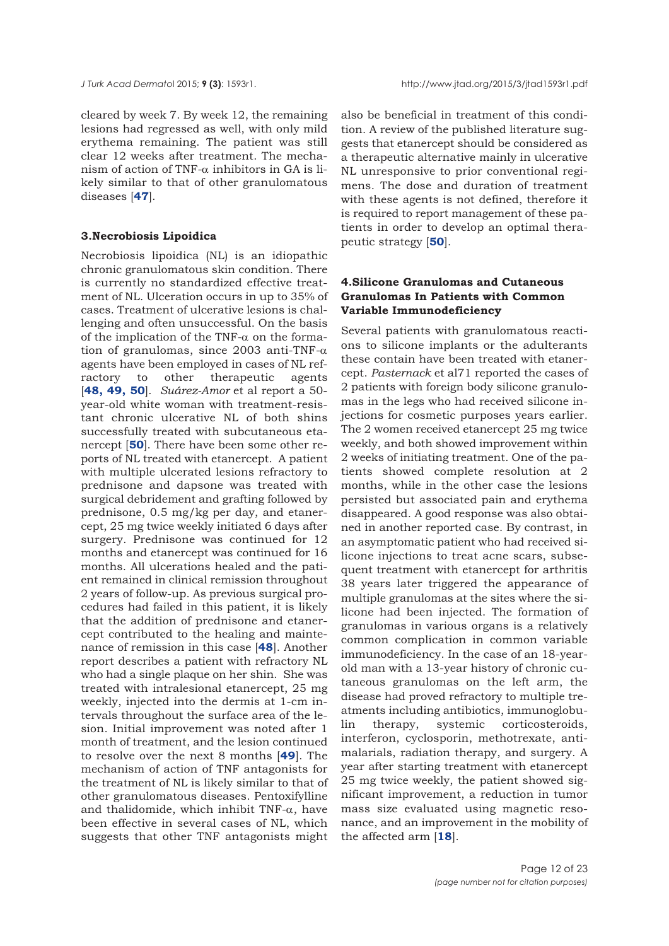cleared by week 7. By week 12, the remaining lesions had regressed as well, with only mild erythema remaining. The patient was still clear 12 weeks after treatment. The mechanism of action of TNF- $\alpha$  inhibitors in GA is likely similar to that of other granulomatous diseases [**[47](#page-21-0)**].

### **3.Necrobiosis Lipoidica**

Necrobiosis lipoidica (NL) is an idiopathic chronic granulomatous skin condition. There is currently no standardized effective treatment of NL. Ulceration occurs in up to 35% of cases. Treatment of ulcerative lesions is challenging and often unsuccessful. On the basis of the implication of the TNF- $\alpha$  on the formation of granulomas, since 2003 anti-TNF- $\alpha$ agents have been employed in cases of NL refractory to other therapeutic agents [**[48, 49, 50](#page-21-0)**]. *Suárez-Amor* et al report a 50 year-old white woman with treatment-resistant chronic ulcerative NL of both shins successfully treated with subcutaneous etanercept [**[50](#page-21-0)**]. There have been some other reports of NL treated with etanercept. A patient with multiple ulcerated lesions refractory to prednisone and dapsone was treated with surgical debridement and grafting followed by prednisone, 0.5 mg/kg per day, and etanercept, 25 mg twice weekly initiated 6 days after surgery. Prednisone was continued for 12 months and etanercept was continued for 16 months. All ulcerations healed and the patient remained in clinical remission throughout 2 years of follow-up. As previous surgical procedures had failed in this patient, it is likely that the addition of prednisone and etanercept contributed to the healing and maintenance of remission in this case [**[48](#page-21-0)**]. Another report describes a patient with refractory NL who had a single plaque on her shin. She was treated with intralesional etanercept, 25 mg weekly, injected into the dermis at 1-cm intervals throughout the surface area of the lesion. Initial improvement was noted after 1 month of treatment, and the lesion continued to resolve over the next 8 months [**[49](#page-21-0)**]. The mechanism of action of TNF antagonists for the treatment of NL is likely similar to that of other granulomatous diseases. Pentoxifylline and thalidomide, which inhibit TNF- $\alpha$ , have been effective in several cases of NL, which suggests that other TNF antagonists might

also be beneficial in treatment of this condition. A review of the published literature suggests that etanercept should be considered as a therapeutic alternative mainly in ulcerative NL unresponsive to prior conventional regimens. The dose and duration of treatment with these agents is not defined, therefore it is required to report management of these patients in order to develop an optimal therapeutic strategy [**[50](#page-21-0)**].

# **4.Silicone Granulomas and Cutaneous Granulomas In Patients with Common Variable Immunodeficiency**

Several patients with granulomatous reactions to silicone implants or the adulterants these contain have been treated with etanercept. *Pasternack* et al71 reported the cases of 2 patients with foreign body silicone granulomas in the legs who had received silicone injections for cosmetic purposes years earlier. The 2 women received etanercept 25 mg twice weekly, and both showed improvement within 2 weeks of initiating treatment. One of the patients showed complete resolution at 2 months, while in the other case the lesions persisted but associated pain and erythema disappeared. A good response was also obtained in another reported case. By contrast, in an asymptomatic patient who had received silicone injections to treat acne scars, subsequent treatment with etanercept for arthritis 38 years later triggered the appearance of multiple granulomas at the sites where the silicone had been injected. The formation of granulomas in various organs is a relatively common complication in common variable immunodeficiency. In the case of an 18-yearold man with a 13-year history of chronic cutaneous granulomas on the left arm, the disease had proved refractory to multiple treatments including antibiotics, immunoglobulin therapy, systemic corticosteroids, interferon, cyclosporin, methotrexate, antimalarials, radiation therapy, and surgery. A year after starting treatment with etanercept 25 mg twice weekly, the patient showed significant improvement, a reduction in tumor mass size evaluated using magnetic resonance, and an improvement in the mobility of the affected arm [**[18](#page-20-0)**].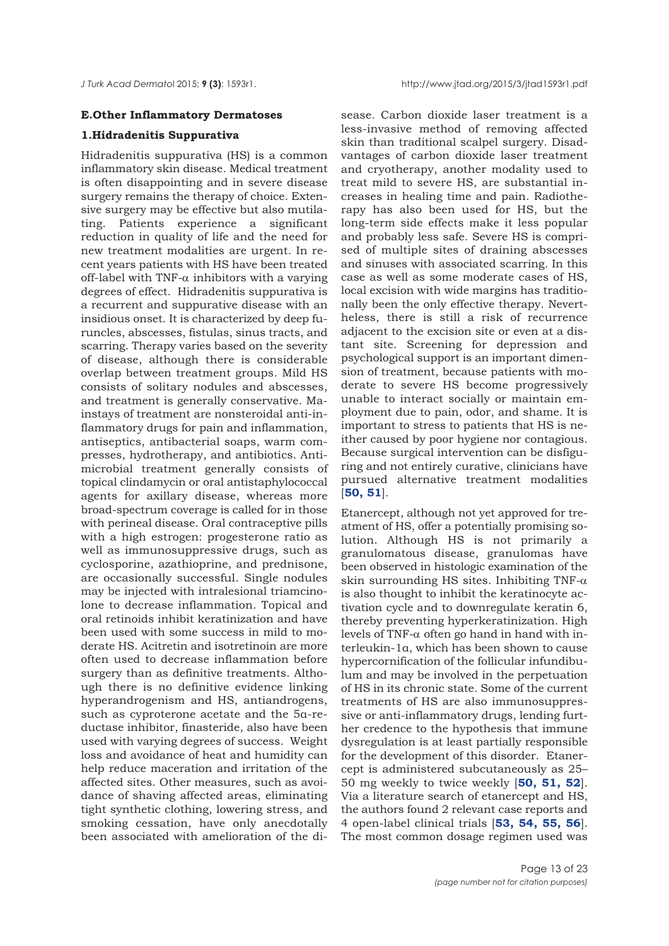#### **E.Other Inflammatory Dermatoses**

#### **1.Hidradenitis Suppurativa**

Hidradenitis suppurativa (HS) is a common inflammatory skin disease. Medical treatment is often disappointing and in severe disease surgery remains the therapy of choice. Extensive surgery may be effective but also mutilating. Patients experience a significant reduction in quality of life and the need for new treatment modalities are urgent. In recent years patients with HS have been treated off-label with TNF- $\alpha$  inhibitors with a varying degrees of effect. Hidradenitis suppurativa is a recurrent and suppurative disease with an insidious onset. It is characterized by deep furuncles, abscesses, fistulas, sinus tracts, and scarring. Therapy varies based on the severity of disease, although there is considerable overlap between treatment groups. Mild HS consists of solitary nodules and abscesses, and treatment is generally conservative. Mainstays of treatment are nonsteroidal anti-inflammatory drugs for pain and inflammation, antiseptics, antibacterial soaps, warm compresses, hydrotherapy, and antibiotics. Antimicrobial treatment generally consists of topical clindamycin or oral antistaphylococcal agents for axillary disease, whereas more broad-spectrum coverage is called for in those with perineal disease. Oral contraceptive pills with a high estrogen: progesterone ratio as well as immunosuppressive drugs, such as cyclosporine, azathioprine, and prednisone, are occasionally successful. Single nodules may be injected with intralesional triamcinolone to decrease inflammation. Topical and oral retinoids inhibit keratinization and have been used with some success in mild to moderate HS. Acitretin and isotretinoin are more often used to decrease inflammation before surgery than as definitive treatments. Although there is no definitive evidence linking hyperandrogenism and HS, antiandrogens, such as cyproterone acetate and the 5α-reductase inhibitor, finasteride, also have been used with varying degrees of success. Weight loss and avoidance of heat and humidity can help reduce maceration and irritation of the affected sites. Other measures, such as avoidance of shaving affected areas, eliminating tight synthetic clothing, lowering stress, and smoking cessation, have only anecdotally been associated with amelioration of the di-

sease. Carbon dioxide laser treatment is a less-invasive method of removing affected skin than traditional scalpel surgery. Disadvantages of carbon dioxide laser treatment and cryotherapy, another modality used to treat mild to severe HS, are substantial increases in healing time and pain. Radiotherapy has also been used for HS, but the long-term side effects make it less popular and probably less safe. Severe HS is comprised of multiple sites of draining abscesses and sinuses with associated scarring. In this case as well as some moderate cases of HS, local excision with wide margins has traditionally been the only effective therapy. Nevertheless, there is still a risk of recurrence adjacent to the excision site or even at a distant site. Screening for depression and psychological support is an important dimension of treatment, because patients with moderate to severe HS become progressively unable to interact socially or maintain employment due to pain, odor, and shame. It is important to stress to patients that HS is neither caused by poor hygiene nor contagious. Because surgical intervention can be disfiguring and not entirely curative, clinicians have pursued alternative treatment modalities [**[50, 51](#page-21-0)**].

Etanercept, although not yet approved for treatment of HS, offer a potentially promising solution. Although HS is not primarily a granulomatous disease, granulomas have been observed in histologic examination of the skin surrounding HS sites. Inhibiting TNF- $\alpha$ is also thought to inhibit the keratinocyte activation cycle and to downregulate keratin 6, thereby preventing hyperkeratinization. High levels of TNF-α often go hand in hand with interleukin-1α, which has been shown to cause hypercornification of the follicular infundibulum and may be involved in the perpetuation of HS in its chronic state. Some of the current treatments of HS are also immunosuppressive or anti-inflammatory drugs, lending further credence to the hypothesis that immune dysregulation is at least partially responsible for the development of this disorder. Etanercept is administered subcutaneously as 25– 50 mg weekly to twice weekly [**[50, 51,](#page-21-0) [52](#page-21-0)**]. Via a literature search of etanercept and HS, the authors found 2 relevant case reports and 4 open-label clinical trials [**[53, 54, 55, 56](#page-21-0)**]. The most common dosage regimen used was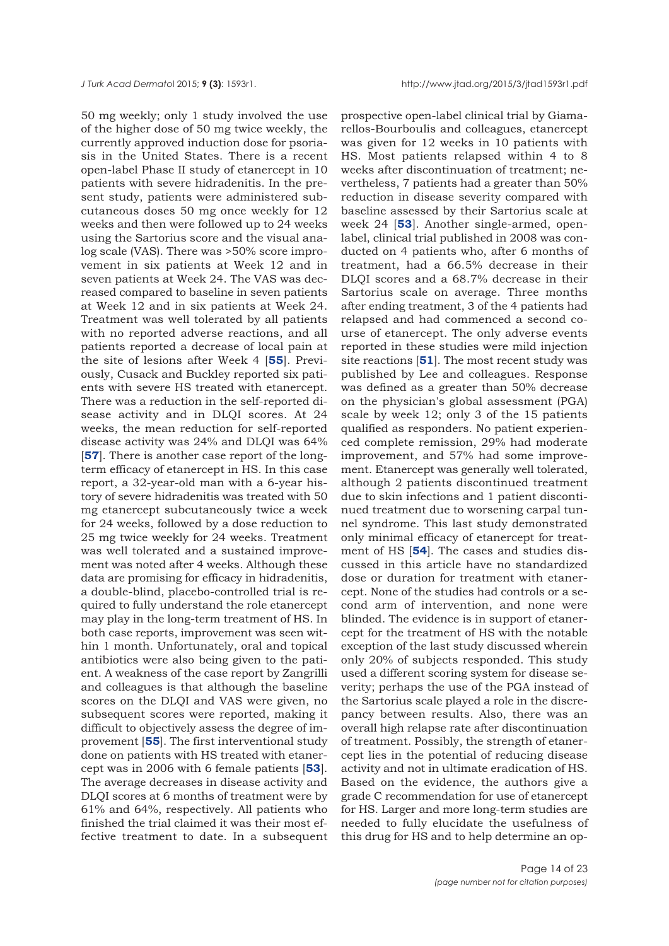50 mg weekly; only 1 study involved the use of the higher dose of 50 mg twice weekly, the currently approved induction dose for psoriasis in the United States. There is a recent open-label Phase II study of etanercept in 10 patients with severe hidradenitis. In the present study, patients were administered subcutaneous doses 50 mg once weekly for 12 weeks and then were followed up to 24 weeks using the Sartorius score and the visual analog scale (VAS). There was >50% score improvement in six patients at Week 12 and in seven patients at Week 24. The VAS was decreased compared to baseline in seven patients at Week 12 and in six patients at Week 24. Treatment was well tolerated by all patients with no reported adverse reactions, and all patients reported a decrease of local pain at the site of lesions after Week 4 [**[55](#page-21-0)**]. Previously, Cusack and Buckley reported six patients with severe HS treated with etanercept. There was a reduction in the self-reported disease activity and in DLQI scores. At 24 weeks, the mean reduction for self-reported disease activity was 24% and DLQI was 64% [**[57](#page-21-0)**]. There is another case report of the longterm efficacy of etanercept in HS. In this case report, a 32-year-old man with a 6-year history of severe hidradenitis was treated with 50 mg etanercept subcutaneously twice a week for 24 weeks, followed by a dose reduction to 25 mg twice weekly for 24 weeks. Treatment was well tolerated and a sustained improvement was noted after 4 weeks. Although these data are promising for efficacy in hidradenitis, a double-blind, placebo-controlled trial is required to fully understand the role etanercept may play in the long-term treatment of HS. In both case reports, improvement was seen within 1 month. Unfortunately, oral and topical antibiotics were also being given to the patient. A weakness of the case report by Zangrilli and colleagues is that although the baseline scores on the DLQI and VAS were given, no subsequent scores were reported, making it difficult to objectively assess the degree of improvement [**[55](#page-21-0)**]. The first interventional study done on patients with HS treated with etanercept was in 2006 with 6 female patients [**[53](#page-21-0)**]. The average decreases in disease activity and DLQI scores at 6 months of treatment were by 61% and 64%, respectively. All patients who finished the trial claimed it was their most effective treatment to date. In a subsequent

prospective open-label clinical trial by Giamarellos-Bourboulis and colleagues, etanercept was given for 12 weeks in 10 patients with HS. Most patients relapsed within 4 to 8 weeks after discontinuation of treatment; nevertheless, 7 patients had a greater than 50% reduction in disease severity compared with baseline assessed by their Sartorius scale at week 24 [**[53](#page-21-0)**]. Another single-armed, openlabel, clinical trial published in 2008 was conducted on 4 patients who, after 6 months of treatment, had a 66.5% decrease in their DLQI scores and a 68.7% decrease in their Sartorius scale on average. Three months after ending treatment, 3 of the 4 patients had relapsed and had commenced a second course of etanercept. The only adverse events reported in these studies were mild injection site reactions [**[51](#page-21-0)**]. The most recent study was published by Lee and colleagues. Response was defined as a greater than 50% decrease on the physician's global assessment (PGA) scale by week 12; only 3 of the 15 patients qualified as responders. No patient experienced complete remission, 29% had moderate improvement, and 57% had some improvement. Etanercept was generally well tolerated, although 2 patients discontinued treatment due to skin infections and 1 patient discontinued treatment due to worsening carpal tunnel syndrome. This last study demonstrated only minimal efficacy of etanercept for treatment of HS [**[54](#page-21-0)**]. The cases and studies discussed in this article have no standardized dose or duration for treatment with etanercept. None of the studies had controls or a second arm of intervention, and none were blinded. The evidence is in support of etanercept for the treatment of HS with the notable exception of the last study discussed wherein only 20% of subjects responded. This study used a different scoring system for disease severity; perhaps the use of the PGA instead of the Sartorius scale played a role in the discrepancy between results. Also, there was an overall high relapse rate after discontinuation of treatment. Possibly, the strength of etanercept lies in the potential of reducing disease activity and not in ultimate eradication of HS. Based on the evidence, the authors give a grade C recommendation for use of etanercept for HS. Larger and more long-term studies are needed to fully elucidate the usefulness of this drug for HS and to help determine an op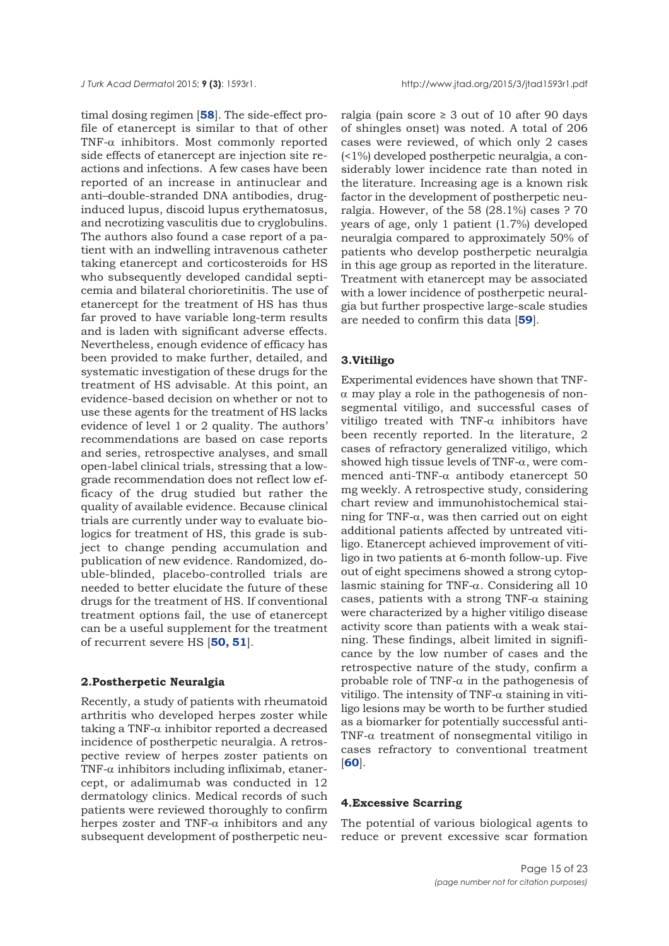timal dosing regimen [**[58](#page-21-0)**]. The side-effect profile of etanercept is similar to that of other TNF-α inhibitors. Most commonly reported side effects of etanercept are injection site reactions and infections. A few cases have been reported of an increase in antinuclear and anti–double-stranded DNA antibodies, druginduced lupus, discoid lupus erythematosus, and necrotizing vasculitis due to cryglobulins. The authors also found a case report of a patient with an indwelling intravenous catheter taking etanercept and corticosteroids for HS who subsequently developed candidal septicemia and bilateral chorioretinitis. The use of etanercept for the treatment of HS has thus far proved to have variable long-term results and is laden with significant adverse effects. Nevertheless, enough evidence of efficacy has been provided to make further, detailed, and systematic investigation of these drugs for the treatment of HS advisable. At this point, an evidence-based decision on whether or not to use these agents for the treatment of HS lacks evidence of level 1 or 2 quality. The authors' recommendations are based on case reports and series, retrospective analyses, and small open-label clinical trials, stressing that a lowgrade recommendation does not reflect low efficacy of the drug studied but rather the quality of available evidence. Because clinical trials are currently under way to evaluate biologics for treatment of HS, this grade is subject to change pending accumulation and publication of new evidence. Randomized, double-blinded, placebo-controlled trials are needed to better elucidate the future of these drugs for the treatment of HS. If conventional treatment options fail, the use of etanercept can be a useful supplement for the treatment of recurrent severe HS [**[50, 51](#page-21-0)**].

# **2.Postherpetic Neuralgia**

Recently, a study of patients with rheumatoid arthritis who developed herpes zoster while taking a TNF- $\alpha$  inhibitor reported a decreased incidence of postherpetic neuralgia. A retrospective review of herpes zoster patients on TNF- $\alpha$  inhibitors including infliximab, etanercept, or adalimumab was conducted in 12 dermatology clinics. Medical records of such patients were reviewed thoroughly to confirm herpes zoster and TNF- $\alpha$  inhibitors and any subsequent development of postherpetic neu-

ralgia (pain score  $\geq$  3 out of 10 after 90 days of shingles onset) was noted. A total of 206 cases were reviewed, of which only 2 cases (<1%) developed postherpetic neuralgia, a considerably lower incidence rate than noted in the literature. Increasing age is a known risk factor in the development of postherpetic neuralgia. However, of the 58 (28.1%) cases ? 70 years of age, only 1 patient (1.7%) developed neuralgia compared to approximately 50% of patients who develop postherpetic neuralgia in this age group as reported in the literature. Treatment with etanercept may be associated with a lower incidence of postherpetic neuralgia but further prospective large-scale studies are needed to confirm this data [**[59](#page-21-0)**].

## **3.Vitiligo**

Experimental evidences have shown that TNF- $\alpha$  may play a role in the pathogenesis of nonsegmental vitiligo, and successful cases of vitiligo treated with TNF- $\alpha$  inhibitors have been recently reported. In the literature, 2 cases of refractory generalized vitiligo, which showed high tissue levels of TNF-α, were commenced anti-TNF-α antibody etanercept 50 mg weekly. A retrospective study, considering chart review and immunohistochemical staining for TNF- $\alpha$ , was then carried out on eight additional patients affected by untreated vitiligo. Etanercept achieved improvement of vitiligo in two patients at 6-month follow-up. Five out of eight specimens showed a strong cytoplasmic staining for TNF-α. Considering all 10 cases, patients with a strong TNF- $\alpha$  staining were characterized by a higher vitiligo disease activity score than patients with a weak staining. These findings, albeit limited in significance by the low number of cases and the retrospective nature of the study, confirm a probable role of TNF- $\alpha$  in the pathogenesis of vitiligo. The intensity of TNF- $\alpha$  staining in vitiligo lesions may be worth to be further studied as a biomarker for potentially successful anti-TNF-α treatment of nonsegmental vitiligo in cases refractory to conventional treatment [**[60](#page-21-0)**].

## **4.Excessive Scarring**

The potential of various biological agents to reduce or prevent excessive scar formation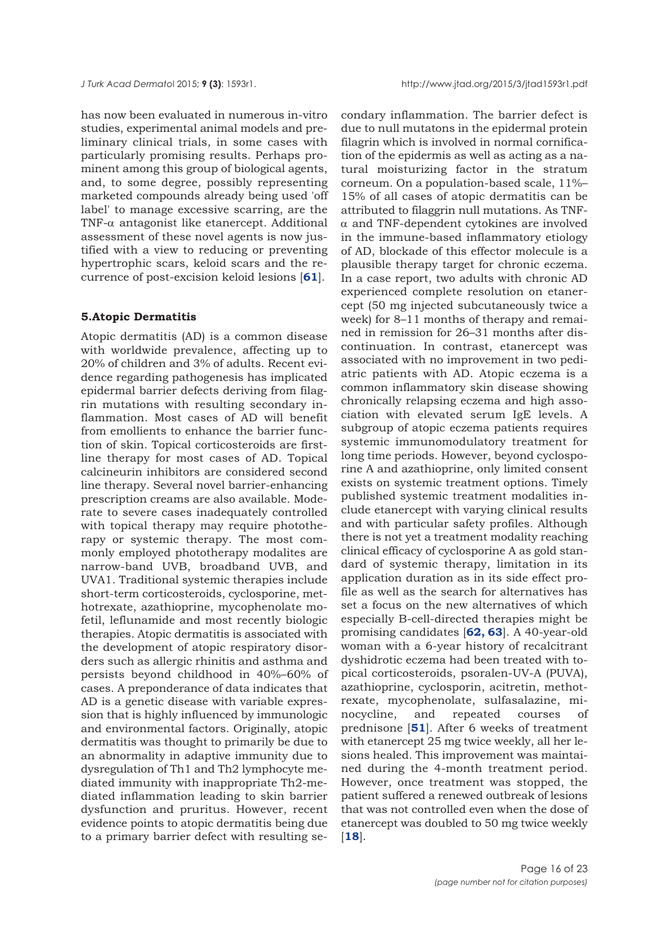has now been evaluated in numerous in-vitro studies, experimental animal models and preliminary clinical trials, in some cases with particularly promising results. Perhaps prominent among this group of biological agents, and, to some degree, possibly representing marketed compounds already being used 'off label' to manage excessive scarring, are the TNF-α antagonist like etanercept. Additional assessment of these novel agents is now justified with a view to reducing or preventing hypertrophic scars, keloid scars and the recurrence of post-excision keloid lesions [**[61](#page-21-0)**].

#### **5.Atopic Dermatitis**

Atopic dermatitis (AD) is a common disease with worldwide prevalence, affecting up to 20% of children and 3% of adults. Recent evidence regarding pathogenesis has implicated epidermal barrier defects deriving from filagrin mutations with resulting secondary inflammation. Most cases of AD will benefit from emollients to enhance the barrier function of skin. Topical corticosteroids are firstline therapy for most cases of AD. Topical calcineurin inhibitors are considered second line therapy. Several novel barrier-enhancing prescription creams are also available. Moderate to severe cases inadequately controlled with topical therapy may require phototherapy or systemic therapy. The most commonly employed phototherapy modalites are narrow-band UVB, broadband UVB, and UVA1. Traditional systemic therapies include short-term corticosteroids, cyclosporine, methotrexate, azathioprine, mycophenolate mofetil, leflunamide and most recently biologic therapies. Atopic dermatitis is associated with the development of atopic respiratory disorders such as allergic rhinitis and asthma and persists beyond childhood in 40%–60% of cases. A preponderance of data indicates that AD is a genetic disease with variable expression that is highly influenced by immunologic and environmental factors. Originally, atopic dermatitis was thought to primarily be due to an abnormality in adaptive immunity due to dysregulation of Th1 and Th2 lymphocyte mediated immunity with inappropriate Th2-mediated inflammation leading to skin barrier dysfunction and pruritus. However, recent evidence points to atopic dermatitis being due to a primary barrier defect with resulting se-

condary inflammation. The barrier defect is due to null mutatons in the epidermal protein filagrin which is involved in normal cornification of the epidermis as well as acting as a natural moisturizing factor in the stratum corneum. On a population-based scale, 11%– 15% of all cases of atopic dermatitis can be attributed to filaggrin null mutations. As TNFα and TNF-dependent cytokines are involved in the immune-based inflammatory etiology of AD, blockade of this effector molecule is a plausible therapy target for chronic eczema. In a case report, two adults with chronic AD experienced complete resolution on etanercept (50 mg injected subcutaneously twice a week) for 8–11 months of therapy and remained in remission for 26–31 months after discontinuation. In contrast, etanercept was associated with no improvement in two pediatric patients with AD. Atopic eczema is a common inflammatory skin disease showing chronically relapsing eczema and high association with elevated serum IgE levels. A subgroup of atopic eczema patients requires systemic immunomodulatory treatment for long time periods. However, beyond cyclosporine A and azathioprine, only limited consent exists on systemic treatment options. Timely published systemic treatment modalities include etanercept with varying clinical results and with particular safety profiles. Although there is not yet a treatment modality reaching clinical efficacy of cyclosporine A as gold standard of systemic therapy, limitation in its application duration as in its side effect profile as well as the search for alternatives has set a focus on the new alternatives of which especially B-cell-directed therapies might be promising candidates [**[62, 63](#page-21-0)**]. A 40-year-old woman with a 6-year history of recalcitrant dyshidrotic eczema had been treated with topical corticosteroids, psoralen-UV-A (PUVA), azathioprine, cyclosporin, acitretin, methotrexate, mycophenolate, sulfasalazine, minocycline, and repeated courses of prednisone [**[51](#page-21-0)**]. After 6 weeks of treatment with etanercept 25 mg twice weekly, all her lesions healed. This improvement was maintained during the 4-month treatment period. However, once treatment was stopped, the patient suffered a renewed outbreak of lesions that was not controlled even when the dose of etanercept was doubled to 50 mg twice weekly [**[18](#page-20-0)**].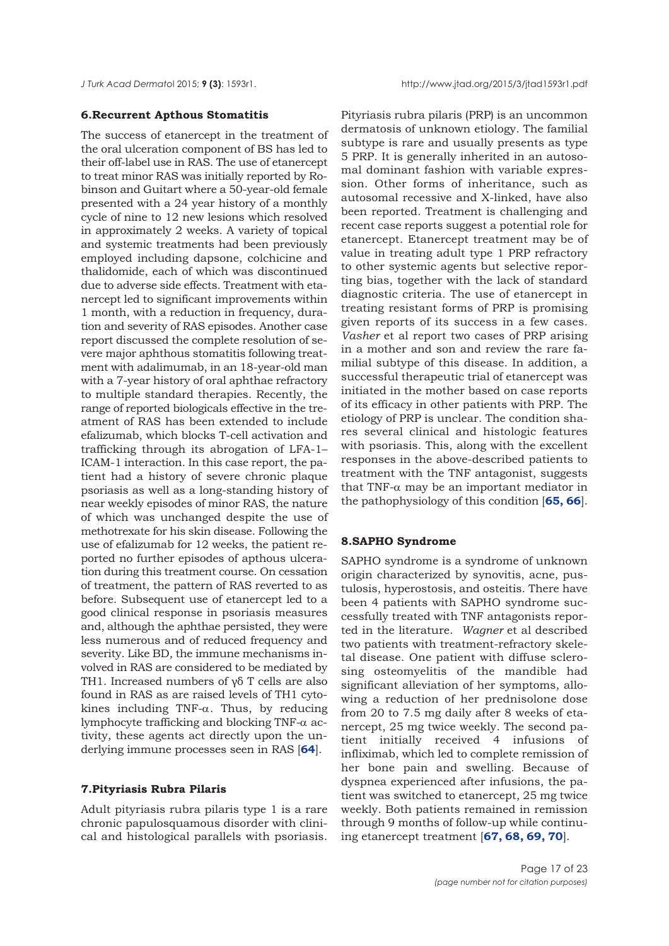## **6.Recurrent Apthous Stomatitis**

The success of etanercept in the treatment of the oral ulceration component of BS has led to their off-label use in RAS. The use of etanercept to treat minor RAS was initially reported by Robinson and Guitart where a 50-year-old female presented with a 24 year history of a monthly cycle of nine to 12 new lesions which resolved in approximately 2 weeks. A variety of topical and systemic treatments had been previously employed including dapsone, colchicine and thalidomide, each of which was discontinued due to adverse side effects. Treatment with etanercept led to significant improvements within 1 month, with a reduction in frequency, duration and severity of RAS episodes. Another case report discussed the complete resolution of severe major aphthous stomatitis following treatment with adalimumab, in an 18-year-old man with a 7-year history of oral aphthae refractory to multiple standard therapies. Recently, the range of reported biologicals effective in the treatment of RAS has been extended to include efalizumab, which blocks T-cell activation and trafficking through its abrogation of LFA-1– ICAM-1 interaction. In this case report, the patient had a history of severe chronic plaque psoriasis as well as a long-standing history of near weekly episodes of minor RAS, the nature of which was unchanged despite the use of methotrexate for his skin disease. Following the use of efalizumab for 12 weeks, the patient reported no further episodes of apthous ulceration during this treatment course. On cessation of treatment, the pattern of RAS reverted to as before. Subsequent use of etanercept led to a good clinical response in psoriasis measures and, although the aphthae persisted, they were less numerous and of reduced frequency and severity. Like BD, the immune mechanisms involved in RAS are considered to be mediated by TH1. Increased numbers of γδ T cells are also found in RAS as are raised levels of TH1 cytokines including TNF- $\alpha$ . Thus, by reducing lymphocyte trafficking and blocking TNF-α activity, these agents act directly upon the underlying immune processes seen in RAS [**[64](#page-21-0)**].

#### **7.Pityriasis Rubra Pilaris**

Adult pityriasis rubra pilaris type 1 is a rare chronic papulosquamous disorder with clinical and histological parallels with psoriasis. Pityriasis rubra pilaris (PRP) is an uncommon dermatosis of unknown etiology. The familial subtype is rare and usually presents as type 5 PRP. It is generally inherited in an autosomal dominant fashion with variable expression. Other forms of inheritance, such as autosomal recessive and X-linked, have also been reported. Treatment is challenging and recent case reports suggest a potential role for etanercept. Etanercept treatment may be of value in treating adult type 1 PRP refractory to other systemic agents but selective reporting bias, together with the lack of standard diagnostic criteria. The use of etanercept in treating resistant forms of PRP is promising given reports of its success in a few cases. *Vasher* et al report two cases of PRP arising in a mother and son and review the rare familial subtype of this disease. In addition, a successful therapeutic trial of etanercept was initiated in the mother based on case reports of its efficacy in other patients with PRP. The etiology of PRP is unclear. The condition shares several clinical and histologic features with psoriasis. This, along with the excellent responses in the above-described patients to treatment with the TNF antagonist, suggests that TNF- $α$  may be an important mediator in the pathophysiology of this condition [**[65, 66](#page-21-0)**].

#### **8.SAPHO Syndrome**

SAPHO syndrome is a syndrome of unknown origin characterized by synovitis, acne, pustulosis, hyperostosis, and osteitis. There have been 4 patients with SAPHO syndrome successfully treated with TNF antagonists reported in the literature. *Wagner* et al described two patients with treatment-refractory skeletal disease. One patient with diffuse sclerosing osteomyelitis of the mandible had significant alleviation of her symptoms, allowing a reduction of her prednisolone dose from 20 to 7.5 mg daily after 8 weeks of etanercept, 25 mg twice weekly. The second patient initially received 4 infusions of infliximab, which led to complete remission of her bone pain and swelling. Because of dyspnea experienced after infusions, the patient was switched to etanercept, 25 mg twice weekly. Both patients remained in remission through 9 months of follow-up while continuing etanercept treatment [**[67, 68,](#page-21-0) [69, 70](#page-22-0)**].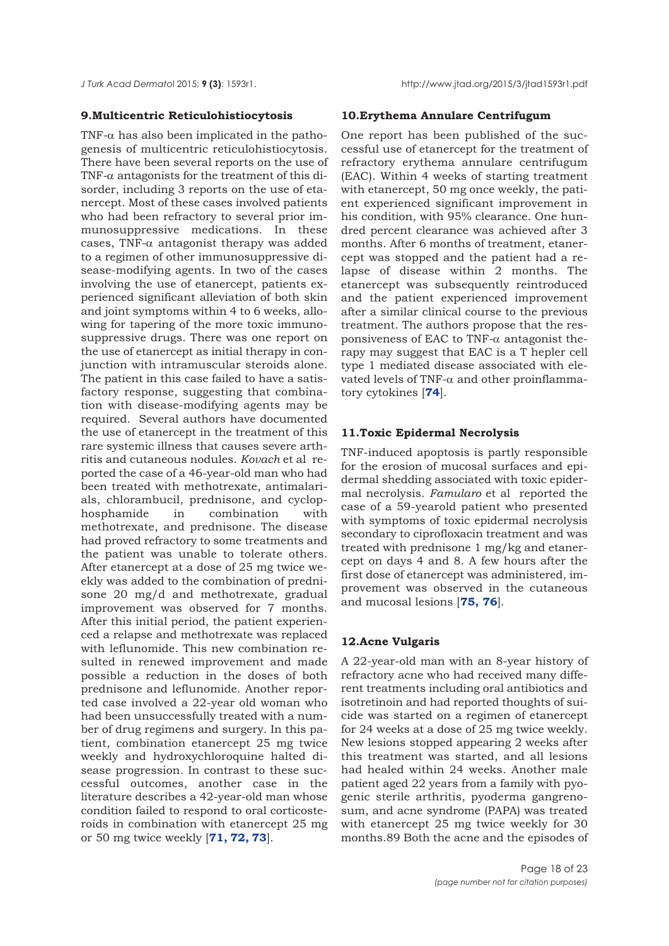## **9.Multicentric Reticulohistiocytosis**

TNF- $\alpha$  has also been implicated in the pathogenesis of multicentric reticulohistiocytosis. There have been several reports on the use of TNF- $\alpha$  antagonists for the treatment of this disorder, including 3 reports on the use of etanercept. Most of these cases involved patients who had been refractory to several prior immunosuppressive medications. In these cases, TNF-α antagonist therapy was added to a regimen of other immunosuppressive disease-modifying agents. In two of the cases involving the use of etanercept, patients experienced significant alleviation of both skin and joint symptoms within 4 to 6 weeks, allowing for tapering of the more toxic immunosuppressive drugs. There was one report on the use of etanercept as initial therapy in conjunction with intramuscular steroids alone. The patient in this case failed to have a satisfactory response, suggesting that combination with disease-modifying agents may be required. Several authors have documented the use of etanercept in the treatment of this rare systemic illness that causes severe arthritis and cutaneous nodules. *Kovach* et al reported the case of a 46-year-old man who had been treated with methotrexate, antimalarials, chlorambucil, prednisone, and cyclophosphamide in combination with methotrexate, and prednisone. The disease had proved refractory to some treatments and the patient was unable to tolerate others. After etanercept at a dose of 25 mg twice weekly was added to the combination of prednisone 20 mg/d and methotrexate, gradual improvement was observed for 7 months. After this initial period, the patient experienced a relapse and methotrexate was replaced with leflunomide. This new combination resulted in renewed improvement and made possible a reduction in the doses of both prednisone and leflunomide. Another reported case involved a 22-year old woman who had been unsuccessfully treated with a number of drug regimens and surgery. In this patient, combination etanercept 25 mg twice weekly and hydroxychloroquine halted disease progression. In contrast to these successful outcomes, another case in the literature describes a 42-year-old man whose condition failed to respond to oral corticosteroids in combination with etanercept 25 mg or 50 mg twice weekly [**[71, 72, 73](#page-22-0)**].

# **10.Erythema Annulare Centrifugum**

One report has been published of the successful use of etanercept for the treatment of refractory erythema annulare centrifugum (EAC). Within 4 weeks of starting treatment with etanercept, 50 mg once weekly, the patient experienced significant improvement in his condition, with 95% clearance. One hundred percent clearance was achieved after 3 months. After 6 months of treatment, etanercept was stopped and the patient had a relapse of disease within 2 months. The etanercept was subsequently reintroduced and the patient experienced improvement after a similar clinical course to the previous treatment. The authors propose that the responsiveness of EAC to TNF- $\alpha$  antagonist therapy may suggest that EAC is a T hepler cell type 1 mediated disease associated with elevated levels of TNF-α and other proinflammatory cytokines [**[74](#page-22-0)**].

# **11.Toxic Epidermal Necrolysis**

TNF-induced apoptosis is partly responsible for the erosion of mucosal surfaces and epidermal shedding associated with toxic epidermal necrolysis. *Famularo* et al reported the case of a 59-yearold patient who presented with symptoms of toxic epidermal necrolysis secondary to ciprofloxacin treatment and was treated with prednisone 1 mg/kg and etanercept on days 4 and 8. A few hours after the first dose of etanercept was administered, improvement was observed in the cutaneous and mucosal lesions [**[75, 76](#page-22-0)**].

## **12.Acne Vulgaris**

A 22-year-old man with an 8-year history of refractory acne who had received many different treatments including oral antibiotics and isotretinoin and had reported thoughts of suicide was started on a regimen of etanercept for 24 weeks at a dose of 25 mg twice weekly. New lesions stopped appearing 2 weeks after this treatment was started, and all lesions had healed within 24 weeks. Another male patient aged 22 years from a family with pyogenic sterile arthritis, pyoderma gangrenosum, and acne syndrome (PAPA) was treated with etanercept 25 mg twice weekly for 30 months.89 Both the acne and the episodes of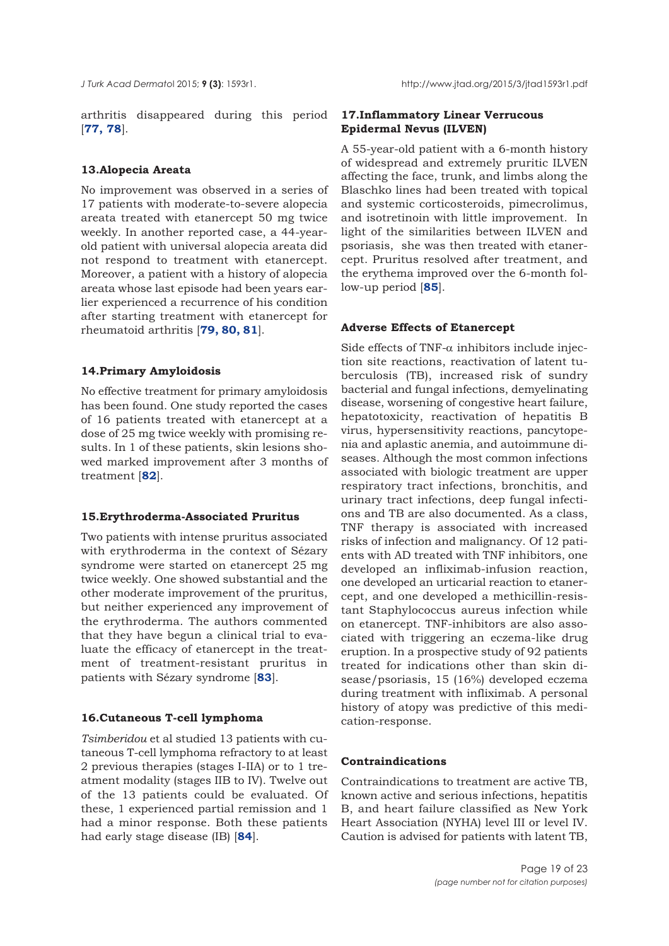arthritis disappeared during this period [**[77, 78](#page-22-0)**].

## **13.Alopecia Areata**

No improvement was observed in a series of 17 patients with moderate-to-severe alopecia areata treated with etanercept 50 mg twice weekly. In another reported case, a 44-yearold patient with universal alopecia areata did not respond to treatment with etanercept. Moreover, a patient with a history of alopecia areata whose last episode had been years earlier experienced a recurrence of his condition after starting treatment with etanercept for rheumatoid arthritis [**[79, 80, 81](#page-22-0)**].

## **14.Primary Amyloidosis**

No effective treatment for primary amyloidosis has been found. One study reported the cases of 16 patients treated with etanercept at a dose of 25 mg twice weekly with promising results. In 1 of these patients, skin lesions showed marked improvement after 3 months of treatment [**[82](#page-22-0)**].

## **15.Erythroderma-Associated Pruritus**

Two patients with intense pruritus associated with erythroderma in the context of Sézary syndrome were started on etanercept 25 mg twice weekly. One showed substantial and the other moderate improvement of the pruritus, but neither experienced any improvement of the erythroderma. The authors commented that they have begun a clinical trial to evaluate the efficacy of etanercept in the treatment of treatment-resistant pruritus in patients with Sézary syndrome [**[83](#page-22-0)**].

## **16.Cutaneous T-cell lymphoma**

*Tsimberidou* et al studied 13 patients with cutaneous T-cell lymphoma refractory to at least 2 previous therapies (stages I-IIA) or to 1 treatment modality (stages IIB to IV). Twelve out of the 13 patients could be evaluated. Of these, 1 experienced partial remission and 1 had a minor response. Both these patients had early stage disease (IB) [**[84](#page-22-0)**].

# **17.Inflammatory Linear Verrucous Epidermal Nevus (ILVEN)**

A 55-year-old patient with a 6-month history of widespread and extremely pruritic ILVEN affecting the face, trunk, and limbs along the Blaschko lines had been treated with topical and systemic corticosteroids, pimecrolimus, and isotretinoin with little improvement. In light of the similarities between ILVEN and psoriasis, she was then treated with etanercept. Pruritus resolved after treatment, and the erythema improved over the 6-month follow-up period [**[85](#page-22-0)**].

# **Adverse Effects of Etanercept**

Side effects of TNF- $\alpha$  inhibitors include injection site reactions, reactivation of latent tuberculosis (TB), increased risk of sundry bacterial and fungal infections, demyelinating disease, worsening of congestive heart failure, hepatotoxicity, reactivation of hepatitis B virus, hypersensitivity reactions, pancytopenia and aplastic anemia, and autoimmune diseases. Although the most common infections associated with biologic treatment are upper respiratory tract infections, bronchitis, and urinary tract infections, deep fungal infections and TB are also documented. As a class, TNF therapy is associated with increased risks of infection and malignancy. Of 12 patients with AD treated with TNF inhibitors, one developed an infliximab-infusion reaction, one developed an urticarial reaction to etanercept, and one developed a methicillin-resistant Staphylococcus aureus infection while on etanercept. TNF-inhibitors are also associated with triggering an eczema-like drug eruption. In a prospective study of 92 patients treated for indications other than skin disease/psoriasis, 15 (16%) developed eczema during treatment with infliximab. A personal history of atopy was predictive of this medication-response.

# **Contraindications**

Contraindications to treatment are active TB, known active and serious infections, hepatitis B, and heart failure classified as New York Heart Association (NYHA) level III or level IV. Caution is advised for patients with latent TB,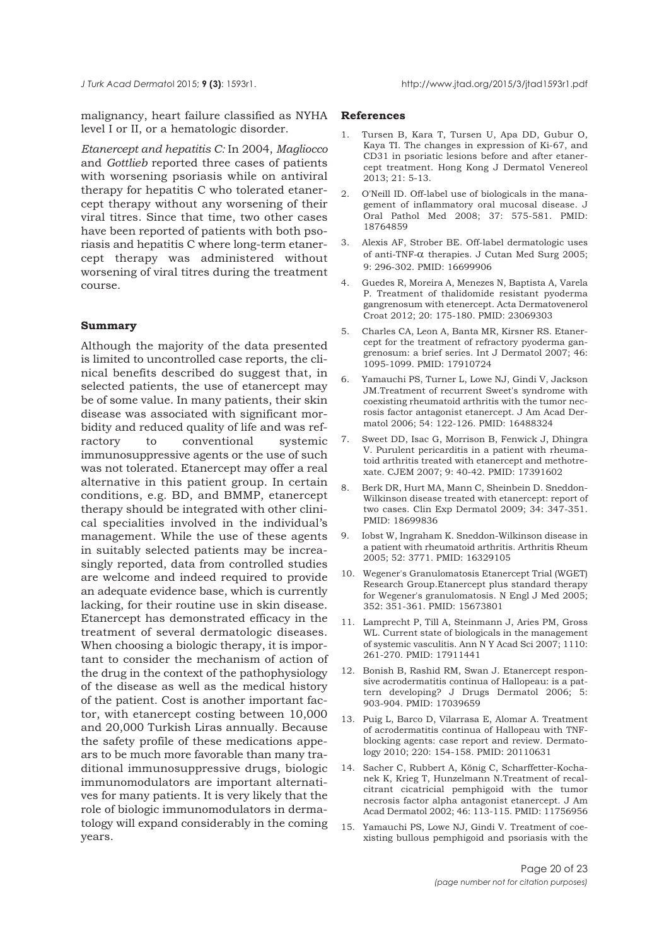<span id="page-19-0"></span>malignancy, heart failure classified as NYHA level I or II, or a hematologic disorder.

*Etanercept and hepatitis C:* In 2004, *Magliocco* and *Gottlieb* reported three cases of patients with worsening psoriasis while on antiviral therapy for hepatitis C who tolerated etanercept therapy without any worsening of their viral titres. Since that time, two other cases have been reported of patients with both psoriasis and hepatitis C where long-term etanercept therapy was administered without worsening of viral titres during the treatment course.

## **Summary**

Although the majority of the data presented is limited to uncontrolled case reports, the clinical benefits described do suggest that, in selected patients, the use of etanercept may be of some value. In many patients, their skin disease was associated with significant morbidity and reduced quality of life and was refractory to conventional systemic immunosuppressive agents or the use of such was not tolerated. Etanercept may offer a real alternative in this patient group. In certain conditions, e.g. BD, and BMMP, etanercept therapy should be integrated with other clinical specialities involved in the individual's management. While the use of these agents in suitably selected patients may be increasingly reported, data from controlled studies are welcome and indeed required to provide an adequate evidence base, which is currently lacking, for their routine use in skin disease. Etanercept has demonstrated efficacy in the treatment of several dermatologic diseases. When choosing a biologic therapy, it is important to consider the mechanism of action of the drug in the context of the pathophysiology of the disease as well as the medical history of the patient. Cost is another important factor, with etanercept costing between 10,000 and 20,000 Turkish Liras annually. Because the safety profile of these medications appears to be much more favorable than many traditional immunosuppressive drugs, biologic immunomodulators are important alternatives for many patients. It is very likely that the role of biologic immunomodulators in dermatology will expand considerably in the coming years.

#### **References**

- 1. Tursen B, Kara T, Tursen U, Apa DD, Gubur O, Kaya TI. The changes in expression of Ki-67, and CD31 in psoriatic lesions before and after etanercept treatment. Hong Kong J Dermatol Venereol 2013; 21: 5-13.
- 2. O'Neill ID. Off-label use of biologicals in the management of inflammatory oral mucosal disease. J Oral Pathol Med 2008; 37: 575-581. PMID: 18764859
- 3. Alexis AF, Strober BE. Off-label dermatologic uses of anti-TNF-α therapies. J Cutan Med Surg 2005; 9: 296-302. PMID: 16699906
- 4. Guedes R, Moreira A, Menezes N, Baptista A, Varela P. Treatment of thalidomide resistant pyoderma gangrenosum with etenercept. Acta Dermatovenerol Croat 2012; 20: 175-180. PMID: 23069303
- 5. Charles CA, Leon A, Banta MR, Kirsner RS. Etanercept for the treatment of refractory pyoderma gangrenosum: a brief series. Int J Dermatol 2007; 46: 1095-1099. PMID: 17910724
- 6. Yamauchi PS, Turner L, Lowe NJ, Gindi V, Jackson JM.Treatment of recurrent Sweet's syndrome with coexisting rheumatoid arthritis with the tumor necrosis factor antagonist etanercept. J Am Acad Dermatol 2006; 54: 122-126. PMID: 16488324
- 7. Sweet DD, Isac G, Morrison B, Fenwick J, Dhingra V. Purulent pericarditis in a patient with rheumatoid arthritis treated with etanercept and methotrexate. CJEM 2007; 9: 40-42. PMID: 17391602
- 8. Berk DR, Hurt MA, Mann C, Sheinbein D. Sneddon-Wilkinson disease treated with etanercept: report of two cases. Clin Exp Dermatol 2009; 34: 347-351. PMID: 18699836
- 9. Iobst W, Ingraham K. Sneddon-Wilkinson disease in a patient with rheumatoid arthritis. Arthritis Rheum 2005; 52: 3771. PMID: 16329105
- 10. Wegener's Granulomatosis Etanercept Trial (WGET) Research Group.Etanercept plus standard therapy for Wegener's granulomatosis. N Engl J Med 2005; 352: 351-361. PMID: 15673801
- 11. Lamprecht P, Till A, Steinmann J, Aries PM, Gross WL. Current state of biologicals in the management of systemic vasculitis. Ann N Y Acad Sci 2007; 1110: 261-270. PMID: 17911441
- 12. Bonish B, Rashid RM, Swan J. Etanercept responsive acrodermatitis continua of Hallopeau: is a pattern developing? J Drugs Dermatol 2006; 5: 903-904. PMID: 17039659
- 13. Puig L, Barco D, Vilarrasa E, Alomar A. Treatment of acrodermatitis continua of Hallopeau with TNFblocking agents: case report and review. Dermatology 2010; 220: 154-158. PMID: 20110631
- 14. Sacher C, Rubbert A, König C, Scharffetter-Kochanek K, Krieg T, Hunzelmann N.Treatment of recalcitrant cicatricial pemphigoid with the tumor necrosis factor alpha antagonist etanercept. J Am Acad Dermatol 2002; 46: 113-115. PMID: 11756956
- 15. Yamauchi PS, Lowe NJ, Gindi V. Treatment of coexisting bullous pemphigoid and psoriasis with the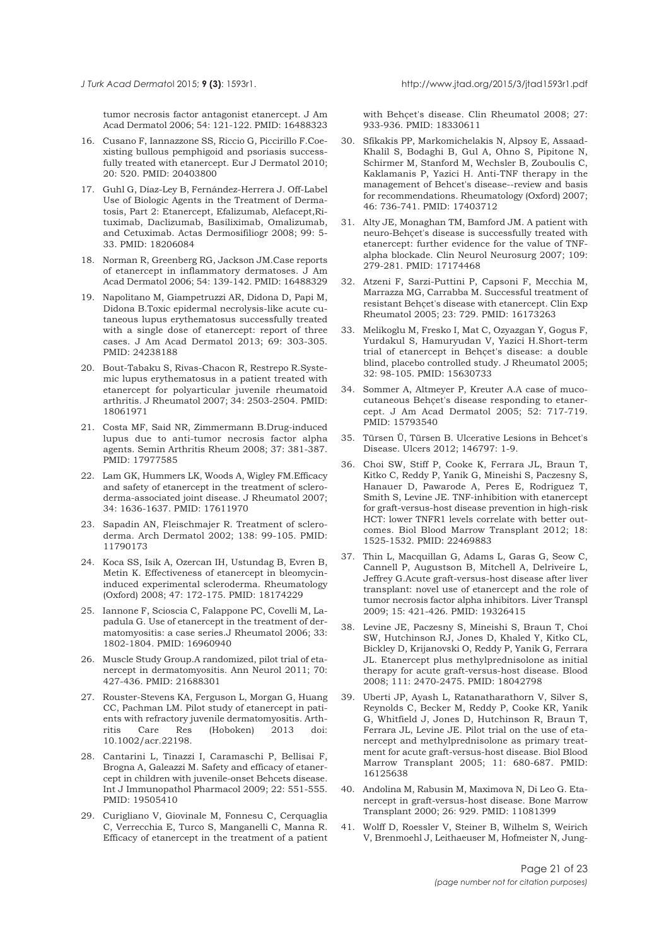tumor necrosis factor antagonist etanercept. J Am Acad Dermatol 2006; 54: 121-122. PMID: 16488323

- 16. Cusano F, Iannazzone SS, Riccio G, Piccirillo F.Coexisting bullous pemphigoid and psoriasis successfully treated with etanercept. Eur J Dermatol 2010; 20: 520. PMID: 20403800
- 17. Guhl G, Díaz-Ley B, Fernández-Herrera J. Off-Label Use of Biologic Agents in the Treatment of Dermatosis, Part 2: Etanercept, Efalizumab, Alefacept,Rituximab, Daclizumab, Basiliximab, Omalizumab, and Cetuximab. Actas Dermosifiliogr 2008; 99: 5- 33. PMID: 18206084
- 18. Norman R, Greenberg RG, Jackson JM.Case reports of etanercept in inflammatory dermatoses. J Am Acad Dermatol 2006; 54: 139-142. PMID: 16488329
- 19. Napolitano M, Giampetruzzi AR, Didona D, Papi M, Didona B.Toxic epidermal necrolysis-like acute cutaneous lupus erythematosus successfully treated with a single dose of etanercept: report of three cases. J Am Acad Dermatol 2013; 69: 303-305. PMID: 24238188
- 20. Bout-Tabaku S, Rivas-Chacon R, Restrepo R.Systemic lupus erythematosus in a patient treated with etanercept for polyarticular juvenile rheumatoid arthritis. J Rheumatol 2007; 34: 2503-2504. PMID: 18061971
- 21. Costa MF, Said NR, Zimmermann B.Drug-induced lupus due to anti-tumor necrosis factor alpha agents. Semin Arthritis Rheum 2008; 37: 381-387. PMID: 17977585
- 22. Lam GK, Hummers LK, Woods A, Wigley FM.Efficacy and safety of etanercept in the treatment of scleroderma-associated joint disease. J Rheumatol 2007; 34: 1636-1637. PMID: 17611970
- 23. Sapadin AN, Fleischmajer R. Treatment of scleroderma. Arch Dermatol 2002; 138: 99-105. PMID: 11790173
- 24. Koca SS, Isik A, Ozercan IH, Ustundag B, Evren B, Metin K. Effectiveness of etanercept in bleomycininduced experimental scleroderma. Rheumatology (Oxford) 2008; 47: 172-175. PMID: 18174229
- 25. Iannone F, Scioscia C, Falappone PC, Covelli M, Lapadula G. Use of etanercept in the treatment of dermatomyositis: a case series.J Rheumatol 2006; 33: 1802-1804. PMID: 16960940
- 26. Muscle Study Group.A randomized, pilot trial of etanercept in dermatomyositis. Ann Neurol 2011; 70: 427-436. PMID: 21688301
- 27. Rouster-Stevens KA, Ferguson L, Morgan G, Huang CC, Pachman LM. Pilot study of etanercept in patients with refractory juvenile dermatomyositis. Arthritis Care Res (Hoboken) 2013 doi: 10.1002/acr.22198.
- 28. Cantarini L, Tinazzi I, Caramaschi P, Bellisai F, Brogna A, Galeazzi M. Safety and efficacy of etanercept in children with juvenile-onset Behcets disease. Int J Immunopathol Pharmacol 2009; 22: 551-555. PMID: 19505410
- 29. Curigliano V, Giovinale M, Fonnesu C, Cerquaglia C, Verrecchia E, Turco S, Manganelli C, Manna R. Efficacy of etanercept in the treatment of a patient

with Behcet's disease. Clin Rheumatol 2008: 27: 933-936. PMID: 18330611

- 30. Sfikakis PP, Markomichelakis N, Alpsoy E, Assaad-Khalil S, Bodaghi B, Gul A, Ohno S, Pipitone N, Schirmer M, Stanford M, Wechsler B, Zouboulis C, Kaklamanis P, Yazici H. Anti-TNF therapy in the management of Behcet's disease--review and basis for recommendations. Rheumatology (Oxford) 2007; 46: 736-741. PMID: 17403712
- 31. Alty JE, Monaghan TM, Bamford JM. A patient with neuro-Behçet's disease is successfully treated with etanercept: further evidence for the value of TNFalpha blockade. Clin Neurol Neurosurg 2007; 109: 279-281. PMID: 17174468
- 32. Atzeni F, Sarzi-Puttini P, Capsoni F, Mecchia M, Marrazza MG, Carrabba M. Successful treatment of resistant Behçet's disease with etanercept. Clin Exp Rheumatol 2005; 23: 729. PMID: 16173263
- 33. Melikoglu M, Fresko I, Mat C, Ozyazgan Y, Gogus F, Yurdakul S, Hamuryudan V, Yazici H.Short-term trial of etanercept in Behçet's disease: a double blind, placebo controlled study. J Rheumatol 2005; 32: 98-105. PMID: 15630733
- 34. Sommer A, Altmeyer P, Kreuter A.A case of mucocutaneous Behçet's disease responding to etanercept. J Am Acad Dermatol 2005; 52: 717-719. PMID: 15793540
- 35. Türsen Ü, Türsen B. Ulcerative Lesions in Behcet's Disease. Ulcers 2012; 146797: 1-9.
- 36. Choi SW, Stiff P, Cooke K, Ferrara JL, Braun T, Kitko C, Reddy P, Yanik G, Mineishi S, Paczesny S, Hanauer D, Pawarode A, Peres E, Rodriguez T, Smith S, Levine JE. TNF-inhibition with etanercept for graft-versus-host disease prevention in high-risk HCT: lower TNFR1 levels correlate with better outcomes. Biol Blood Marrow Transplant 2012; 18: 1525-1532. PMID: 22469883
- 37. Thin L, Macquillan G, Adams L, Garas G, Seow C, Cannell P, Augustson B, Mitchell A, Delriveire L, Jeffrey G.Acute graft-versus-host disease after liver transplant: novel use of etanercept and the role of tumor necrosis factor alpha inhibitors. Liver Transpl 2009; 15: 421-426. PMID: 19326415
- Levine JE, Paczesny S, Mineishi S, Braun T, Choi SW, Hutchinson RJ, Jones D, Khaled Y, Kitko CL, Bickley D, Krijanovski O, Reddy P, Yanik G, Ferrara JL. Etanercept plus methylprednisolone as initial therapy for acute graft-versus-host disease. Blood 2008; 111: 2470-2475. PMID: 18042798
- 39. Uberti JP, Ayash L, Ratanatharathorn V, Silver S, Reynolds C, Becker M, Reddy P, Cooke KR, Yanik G, Whitfield J, Jones D, Hutchinson R, Braun T, Ferrara JL, Levine JE. Pilot trial on the use of etanercept and methylprednisolone as primary treatment for acute graft-versus-host disease. Biol Blood Marrow Transplant 2005; 11: 680-687. PMID: 16125638
- 40. Andolina M, Rabusin M, Maximova N, Di Leo G. Etanercept in graft-versus-host disease. Bone Marrow Transplant 2000; 26: 929. PMID: 11081399
- 41. Wolff D, Roessler V, Steiner B, Wilhelm S, Weirich V, Brenmoehl J, Leithaeuser M, Hofmeister N, Jung-

<span id="page-20-0"></span>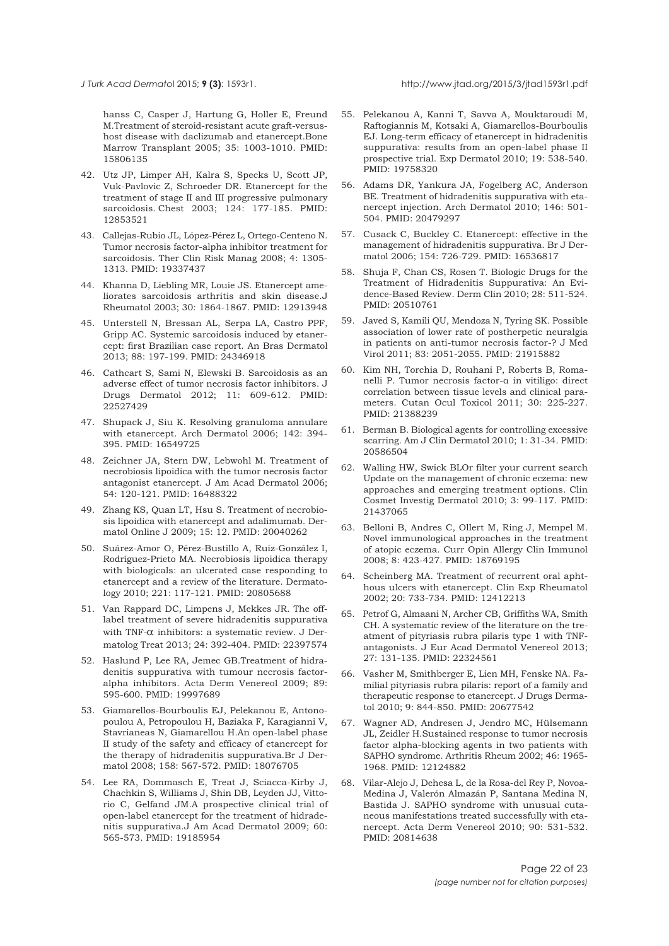#### <span id="page-21-0"></span>*J Turk Acad Dermato*l 2015; **9 (3)**: 1593r1. http://www.jtad.org/2015/3/jtad1593r1.pdf

hanss C, Casper J, Hartung G, Holler E, Freund M.Treatment of steroid-resistant acute graft-versushost disease with daclizumab and etanercept.Bone Marrow Transplant 2005; 35: 1003-1010. PMID: 15806135

- 42. Utz JP, Limper AH, Kalra S, Specks U, Scott JP, Vuk-Pavlovic Z, Schroeder DR. Etanercept for the treatment of stage II and III progressive pulmonary sarcoidosis. Chest 2003; 124: 177-185. PMID: 12853521
- 43. Callejas-Rubio JL, López-Pérez L, Ortego-Centeno N. Tumor necrosis factor-alpha inhibitor treatment for sarcoidosis. Ther Clin Risk Manag 2008; 4: 1305- 1313. PMID: 19337437
- 44. Khanna D, Liebling MR, Louie JS. Etanercept ameliorates sarcoidosis arthritis and skin disease.J Rheumatol 2003; 30: 1864-1867. PMID: 12913948
- 45. Unterstell N, Bressan AL, Serpa LA, Castro PPF, Gripp AC. Systemic sarcoidosis induced by etanercept: first Brazilian case report. An Bras Dermatol 2013; 88: 197-199. PMID: 24346918
- 46. Cathcart S, Sami N, Elewski B. Sarcoidosis as an adverse effect of tumor necrosis factor inhibitors. J Drugs Dermatol 2012; 11: 609-612. PMID: 22527429
- 47. Shupack J, Siu K. Resolving granuloma annulare with etanercept. Arch Dermatol 2006; 142: 394- 395. PMID: 16549725
- 48. Zeichner JA, Stern DW, Lebwohl M. Treatment of necrobiosis lipoidica with the tumor necrosis factor antagonist etanercept. J Am Acad Dermatol 2006; 54: 120-121. PMID: 16488322
- 49. Zhang KS, Quan LT, Hsu S. Treatment of necrobiosis lipoidica with etanercept and adalimumab. Dermatol Online J 2009; 15: 12. PMID: 20040262
- 50. Suárez-Amor O, Pérez-Bustillo A, Ruiz-González I, Rodríguez-Prieto MA. Necrobiosis lipoidica therapy with biologicals: an ulcerated case responding to etanercept and a review of the literature. Dermatology 2010; 221: 117-121. PMID: 20805688
- 51. Van Rappard DC, Limpens J, Mekkes JR. The offlabel treatment of severe hidradenitis suppurativa with TNF-α inhibitors: a systematic review. J Dermatolog Treat 2013; 24: 392-404. PMID: 22397574
- 52. Haslund P, Lee RA, Jemec GB.Treatment of hidradenitis suppurativa with tumour necrosis factoralpha inhibitors. Acta Derm Venereol 2009; 89: 595-600. PMID: 19997689
- 53. Giamarellos-Bourboulis EJ, Pelekanou E, Antonopoulou A, Petropoulou H, Baziaka F, Karagianni V, Stavrianeas N, Giamarellou H.An open-label phase II study of the safety and efficacy of etanercept for the therapy of hidradenitis suppurativa.Br J Dermatol 2008; 158: 567-572. PMID: 18076705
- 54. Lee RA, Dommasch E, Treat J, Sciacca-Kirby J, Chachkin S, Williams J, Shin DB, Leyden JJ, Vittorio C, Gelfand JM.A prospective clinical trial of open-label etanercept for the treatment of hidradenitis suppurativa.J Am Acad Dermatol 2009; 60: 565-573. PMID: 19185954
- 55. Pelekanou A, Kanni T, Savva A, Mouktaroudi M, Raftogiannis M, Kotsaki A, Giamarellos-Bourboulis EJ. Long-term efficacy of etanercept in hidradenitis suppurativa: results from an open-label phase II prospective trial. Exp Dermatol 2010; 19: 538-540. PMID: 19758320
- 56. Adams DR, Yankura JA, Fogelberg AC, Anderson BE. Treatment of hidradenitis suppurativa with etanercept injection. Arch Dermatol 2010; 146: 501- 504. PMID: 20479297
- 57. Cusack C, Buckley C. Etanercept: effective in the management of hidradenitis suppurativa. Br J Dermatol 2006; 154: 726-729. PMID: 16536817
- 58. Shuja F, Chan CS, Rosen T. Biologic Drugs for the Treatment of Hidradenitis Suppurativa: An Evidence-Based Review. Derm Clin 2010; 28: 511-524. PMID: 20510761
- 59. Javed S, Kamili QU, Mendoza N, Tyring SK. Possible association of lower rate of postherpetic neuralgia in patients on anti-tumor necrosis factor-? J Med Virol 2011; 83: 2051-2055. PMID: 21915882
- 60. Kim NH, Torchia D, Rouhani P, Roberts B, Romanelli P. Tumor necrosis factor-α in vitiligo: direct correlation between tissue levels and clinical parameters. Cutan Ocul Toxicol 2011; 30: 225-227. PMID: 21388239
- 61. Berman B. Biological agents for controlling excessive scarring. Am J Clin Dermatol 2010; 1: 31-34. PMID: 20586504
- 62. Walling HW, Swick BLOr filter your current search Update on the management of chronic eczema: new approaches and emerging treatment options. Clin Cosmet Investig Dermatol 2010; 3: 99-117. PMID: 21437065
- 63. Belloni B, Andres C, Ollert M, Ring J, Mempel M. Novel immunological approaches in the treatment of atopic eczema. Curr Opin Allergy Clin Immunol 2008; 8: 423-427. PMID: 18769195
- 64. Scheinberg MA. Treatment of recurrent oral aphthous ulcers with etanercept. Clin Exp Rheumatol 2002; 20: 733-734. PMID: 12412213
- 65. Petrof G, Almaani N, Archer CB, Griffiths WA, Smith CH. A systematic review of the literature on the treatment of pityriasis rubra pilaris type 1 with TNFantagonists. J Eur Acad Dermatol Venereol 2013; 27: 131-135. PMID: 22324561
- 66. Vasher M, Smithberger E, Lien MH, Fenske NA. Familial pityriasis rubra pilaris: report of a family and therapeutic response to etanercept. J Drugs Dermatol 2010; 9: 844-850. PMID: 20677542
- 67. Wagner AD, Andresen J, Jendro MC, Hülsemann JL, Zeidler H.Sustained response to tumor necrosis factor alpha-blocking agents in two patients with SAPHO syndrome. Arthritis Rheum 2002; 46: 1965- 1968. PMID: 12124882
- 68. Vilar-Alejo J, Dehesa L, de la Rosa-del Rey P, Novoa-Medina J, Valerón Almazán P, Santana Medina N, Bastida J. SAPHO syndrome with unusual cutaneous manifestations treated successfully with etanercept. Acta Derm Venereol 2010; 90: 531-532. PMID: 20814638